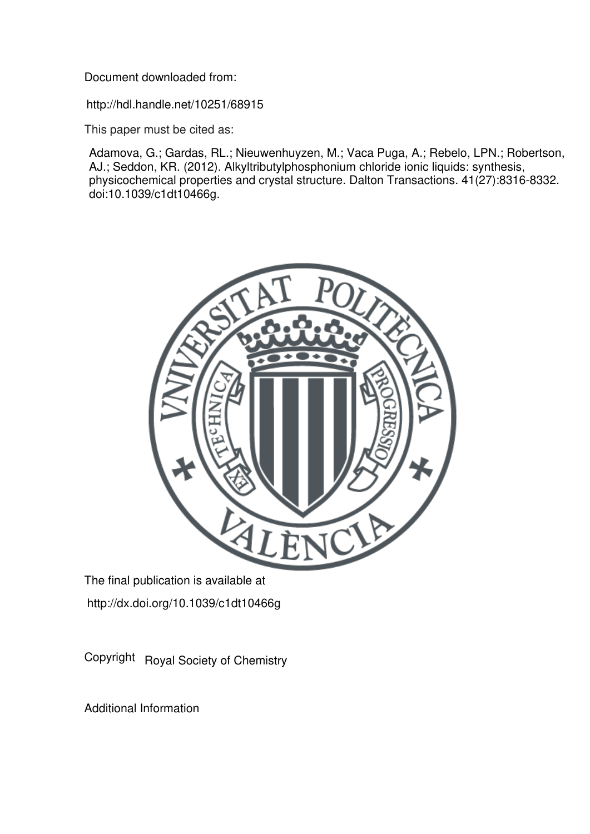Document downloaded from:

http://hdl.handle.net/10251/68915

This paper must be cited as:

Adamova, G.; Gardas, RL.; Nieuwenhuyzen, M.; Vaca Puga, A.; Rebelo, LPN.; Robertson, AJ.; Seddon, KR. (2012). Alkyltributylphosphonium chloride ionic liquids: synthesis, physicochemical properties and crystal structure. Dalton Transactions. 41(27):8316-8332. doi:10.1039/c1dt10466g.



The final publication is available at http://dx.doi.org/10.1039/c1dt10466g

Copyright Royal Society of Chemistry

Additional Information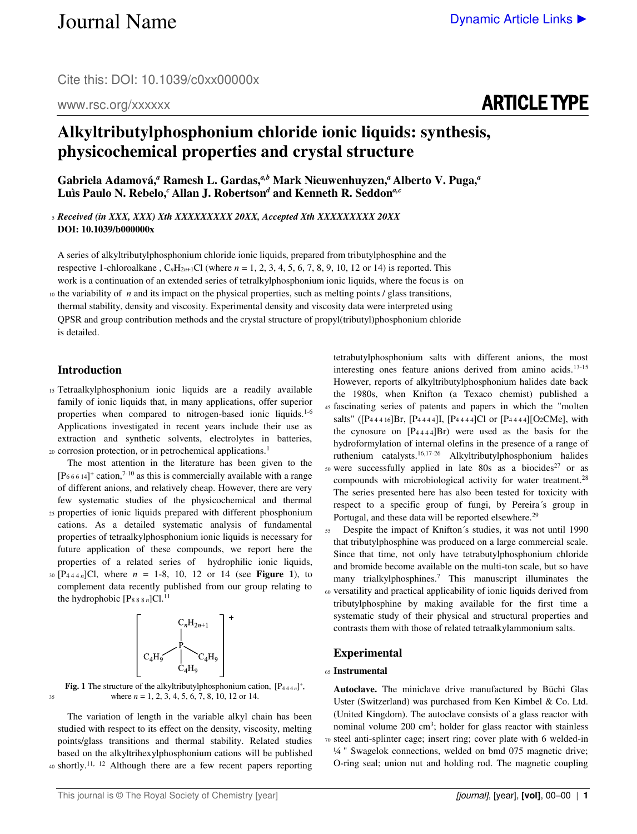Cite this: DOI: 10.1039/c0xx00000x

#### www.rsc.org/xxxxxx

## ARTICLE TYPE

### **Alkyltributylphosphonium chloride ionic liquids: synthesis, physicochemical properties and crystal structure**

Gabriela Adamová,<sup>*a*</sup> Ramesh L. Gardas,<sup>*a,b*</sup> Mark Nieuwenhuyzen,<sup>*a*</sup> Alberto V. Puga,<sup>*a*</sup> **Luìs Paulo N. Rebelo,***<sup>c</sup>***Allan J. Robertson***<sup>d</sup>*  **and Kenneth R. Seddon***a,c*

<sup>5</sup>*Received (in XXX, XXX) Xth XXXXXXXXX 20XX, Accepted Xth XXXXXXXXX 20XX*  **DOI: 10.1039/b000000x** 

A series of alkyltributylphosphonium chloride ionic liquids, prepared from tributylphosphine and the respective 1-chloroalkane,  $C_nH_{2n+1}Cl$  (where  $n = 1, 2, 3, 4, 5, 6, 7, 8, 9, 10, 12$  or 14) is reported. This work is a continuation of an extended series of tetralkylphosphonium ionic liquids, where the focus is on

 $10$  the variability of *n* and its impact on the physical properties, such as melting points / glass transitions, thermal stability, density and viscosity. Experimental density and viscosity data were interpreted using QPSR and group contribution methods and the crystal structure of propyl(tributyl)phosphonium chloride is detailed.

#### **Introduction**

<sup>15</sup>Tetraalkylphosphonium ionic liquids are a readily available family of ionic liquids that, in many applications, offer superior properties when compared to nitrogen-based ionic liquids.1-6 Applications investigated in recent years include their use as extraction and synthetic solvents, electrolytes in batteries, 20 corrosion protection, or in petrochemical applications.<sup>1</sup>

 The most attention in the literature has been given to the  $[P_{66614}]^{+}$  cation,<sup>7-10</sup> as this is commercially available with a range of different anions, and relatively cheap. However, there are very few systematic studies of the physicochemical and thermal

- 25 properties of ionic liquids prepared with different phosphonium cations. As a detailed systematic analysis of fundamental properties of tetraalkylphosphonium ionic liquids is necessary for future application of these compounds, we report here the properties of a related series of hydrophilic ionic liquids,
- $30 [P_{444 n}]$ Cl, where  $n = 1-8$ , 10, 12 or 14 (see **Figure 1**), to complement data recently published from our group relating to the hydrophobic  $[P_{888 n}]Cl.<sup>11</sup>$



**Fig. 1** The structure of the alkyltributylphosphonium cation,  $[P_{444n}]^+$ , 35 where  $n = 1, 2, 3, 4, 5, 6, 7, 8, 10, 12$  or 14.

 The variation of length in the variable alkyl chain has been studied with respect to its effect on the density, viscosity, melting points/glass transitions and thermal stability. Related studies based on the alkyltrihexylphosphonium cations will be published 40 shortly.<sup>11, 12</sup> Although there are a few recent papers reporting

This journal is © The Royal Society of Chemistry [year] **[igurnal]**, [year], [year], **[vol]**, 00–00 | **1** 

tetrabutylphosphonium salts with different anions, the most interesting ones feature anions derived from amino acids.13-15 However, reports of alkyltributylphosphonium halides date back the 1980s, when Knifton (a Texaco chemist) published a <sup>45</sup>fascinating series of patents and papers in which the "molten salts" ( $[P_{44416}]Br$ ,  $[P_{4444}]I$ ,  $[P_{4444}]Cl$  or  $[P_{4444}] [O_2CMe]$ , with

the cynosure on  $[P_{4444}]Br$ ) were used as the basis for the hydroformylation of internal olefins in the presence of a range of ruthenium catalysts.16,17-26 Alkyltributylphosphonium halides  $50$  were successfully applied in late 80s as a biocides<sup>27</sup> or as compounds with microbiological activity for water treatment.<sup>28</sup> The series presented here has also been tested for toxicity with respect to a specific group of fungi, by Pereira´s group in Portugal, and these data will be reported elsewhere.<sup>29</sup>

<sup>55</sup>Despite the impact of Knifton´s studies, it was not until 1990 that tributylphosphine was produced on a large commercial scale. Since that time, not only have tetrabutylphosphonium chloride and bromide become available on the multi-ton scale, but so have many trialkylphosphines.<sup>7</sup> This manuscript illuminates the <sup>60</sup>versatility and practical applicability of ionic liquids derived from tributylphosphine by making available for the first time a systematic study of their physical and structural properties and contrasts them with those of related tetraalkylammonium salts.

#### **Experimental**

#### <sup>65</sup>**Instrumental**

**Autoclave.** The miniclave drive manufactured by Büchi Glas Uster (Switzerland) was purchased from Ken Kimbel & Co. Ltd. (United Kingdom). The autoclave consists of a glass reactor with nominal volume 200 cm<sup>3</sup>; holder for glass reactor with stainless <sup>70</sup>steel anti-splinter cage; insert ring; cover plate with 6 welded-in ¼ " Swagelok connections, welded on bmd 075 magnetic drive; O-ring seal; union nut and holding rod. The magnetic coupling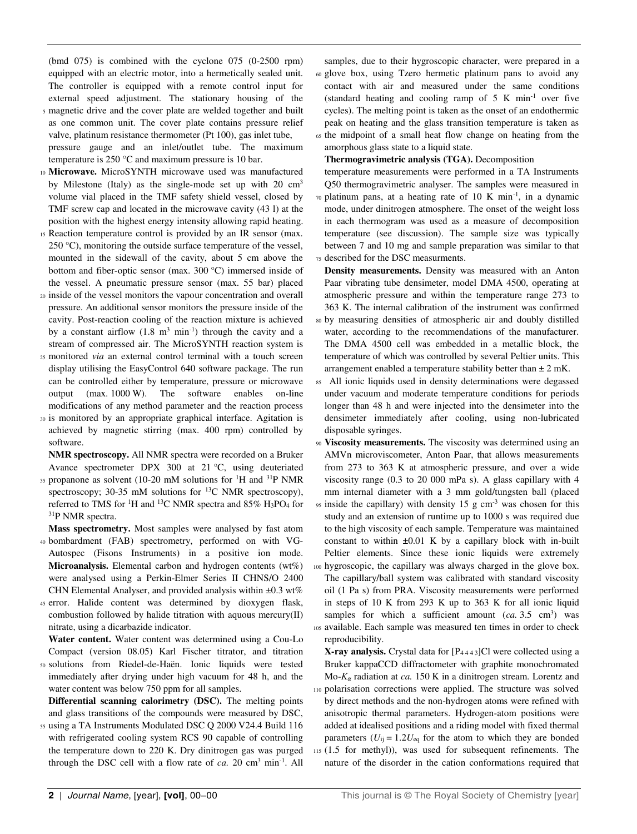(bmd 075) is combined with the cyclone 075 (0-2500 rpm) equipped with an electric motor, into a hermetically sealed unit. The controller is equipped with a remote control input for external speed adjustment. The stationary housing of the

- <sup>5</sup>magnetic drive and the cover plate are welded together and built as one common unit. The cover plate contains pressure relief valve, platinum resistance thermometer (Pt 100), gas inlet tube, pressure gauge and an inlet/outlet tube. The maximum temperature is 250 °C and maximum pressure is 10 bar.
- <sup>10</sup>**Microwave.** MicroSYNTH microwave used was manufactured by Milestone (Italy) as the single-mode set up with 20 cm<sup>3</sup> volume vial placed in the TMF safety shield vessel, closed by TMF screw cap and located in the microwave cavity (43 l) at the position with the highest energy intensity allowing rapid heating.
- <sup>15</sup>Reaction temperature control is provided by an IR sensor (max. 250 °C), monitoring the outside surface temperature of the vessel, mounted in the sidewall of the cavity, about 5 cm above the bottom and fiber-optic sensor (max. 300 °C) immersed inside of the vessel. A pneumatic pressure sensor (max. 55 bar) placed
- <sup>20</sup>inside of the vessel monitors the vapour concentration and overall pressure. An additional sensor monitors the pressure inside of the cavity. Post-reaction cooling of the reaction mixture is achieved by a constant airflow  $(1.8 \text{ m}^3 \text{ min}^{-1})$  through the cavity and a stream of compressed air. The MicroSYNTH reaction system is
- <sup>25</sup>monitored *via* an external control terminal with a touch screen display utilising the EasyControl 640 software package. The run can be controlled either by temperature, pressure or microwave output (max. 1000 W). The software enables on-line modifications of any method parameter and the reaction process
- <sup>30</sup>is monitored by an appropriate graphical interface. Agitation is achieved by magnetic stirring (max. 400 rpm) controlled by software.

**NMR spectroscopy.** All NMR spectra were recorded on a Bruker Avance spectrometer DPX 300 at 21 °C, using deuteriated

35 propanone as solvent (10-20 mM solutions for  ${}^{1}H$  and  ${}^{31}P$  NMR spectroscopy; 30-35 mM solutions for  $^{13}$ C NMR spectroscopy), referred to TMS for <sup>1</sup>H and <sup>13</sup>C NMR spectra and 85% H3PO4 for <sup>31</sup>P NMR spectra.

**Mass spectrometry.** Most samples were analysed by fast atom

- 40 bombardment (FAB) spectrometry, performed on with VG-Autospec (Fisons Instruments) in a positive ion mode. **Microanalysis.** Elemental carbon and hydrogen contents (wt%) were analysed using a Perkin-Elmer Series II CHNS/O 2400 CHN Elemental Analyser, and provided analysis within ±0.3 wt%
- <sup>45</sup>error. Halide content was determined by dioxygen flask, combustion followed by halide titration with aquous mercury(II) nitrate, using a dicarbazide indicator.

**Water content.** Water content was determined using a Cou-Lo Compact (version 08.05) Karl Fischer titrator, and titration

<sup>50</sup>solutions from Riedel-de-Haën. Ionic liquids were tested immediately after drying under high vacuum for 48 h, and the water content was below 750 ppm for all samples.

**Differential scanning calorimetry (DSC).** The melting points and glass transitions of the compounds were measured by DSC,

55 using a TA Instruments Modulated DSC Q 2000 V24.4 Build 116 with refrigerated cooling system RCS 90 capable of controlling the temperature down to 220 K. Dry dinitrogen gas was purged through the DSC cell with a flow rate of  $ca$ . 20  $cm<sup>3</sup> min<sup>-1</sup>$ . All

samples, due to their hygroscopic character, were prepared in a <sup>60</sup>glove box, using Tzero hermetic platinum pans to avoid any contact with air and measured under the same conditions (standard heating and cooling ramp of  $5 K min<sup>-1</sup> over five$ cycles). The melting point is taken as the onset of an endothermic peak on heating and the glass transition temperature is taken as

<sup>65</sup>the midpoint of a small heat flow change on heating from the amorphous glass state to a liquid state.

**Thermogravimetric analysis (TGA).** Decomposition

temperature measurements were performed in a TA Instruments Q50 thermogravimetric analyser. The samples were measured in

 $\pi$  platinum pans, at a heating rate of 10 K min<sup>-1</sup>, in a dynamic mode, under dinitrogen atmosphere. The onset of the weight loss in each thermogram was used as a measure of decomposition temperature (see discussion). The sample size was typically between 7 and 10 mg and sample preparation was similar to that <sup>75</sup>described for the DSC measurments.

**Density measurements.** Density was measured with an Anton Paar vibrating tube densimeter, model DMA 4500, operating at atmospheric pressure and within the temperature range 273 to 363 K. The internal calibration of the instrument was confirmed

- <sup>80</sup>by measuring densities of atmospheric air and doubly distilled water, according to the recommendations of the manufacturer. The DMA 4500 cell was embedded in a metallic block, the temperature of which was controlled by several Peltier units. This arrangement enabled a temperature stability better than  $\pm 2$  mK.
- <sup>85</sup>All ionic liquids used in density determinations were degassed under vacuum and moderate temperature conditions for periods longer than 48 h and were injected into the densimeter into the densimeter immediately after cooling, using non-lubricated disposable syringes.
- <sup>90</sup>**Viscosity measurements.** The viscosity was determined using an AMVn microviscometer, Anton Paar, that allows measurements from 273 to 363 K at atmospheric pressure, and over a wide viscosity range (0.3 to 20 000 mPa s). A glass capillary with 4 mm internal diameter with a 3 mm gold/tungsten ball (placed  $95$  inside the capillary) with density 15 g cm<sup>-3</sup> was chosen for this study and an extension of runtime up to 1000 s was required due to the high viscosity of each sample. Temperature was maintained constant to within  $\pm 0.01$  K by a capillary block with in-built Peltier elements. Since these ionic liquids were extremely 100 hygroscopic, the capillary was always charged in the glove box. The capillary/ball system was calibrated with standard viscosity oil (1 Pa s) from PRA. Viscosity measurements were performed in steps of 10 K from 293 K up to 363 K for all ionic liquid samples for which a sufficient amount  $(ca. 3.5 cm<sup>3</sup>)$  was 105 available. Each sample was measured ten times in order to check reproducibility.

**X-ray analysis.** Crystal data for [P4 4 4 3]Cl were collected using a Bruker kappaCCD diffractometer with graphite monochromated Mo-*Κα* radiation at *ca.* 150 K in a dinitrogen stream. Lorentz and <sup>110</sup>polarisation corrections were applied. The structure was solved by direct methods and the non-hydrogen atoms were refined with anisotropic thermal parameters. Hydrogen-atom positions were added at idealised positions and a riding model with fixed thermal parameters  $(U_{ij} = 1.2U_{eq}$  for the atom to which they are bonded <sup>115</sup>(1.5 for methyl)), was used for subsequent refinements. The nature of the disorder in the cation conformations required that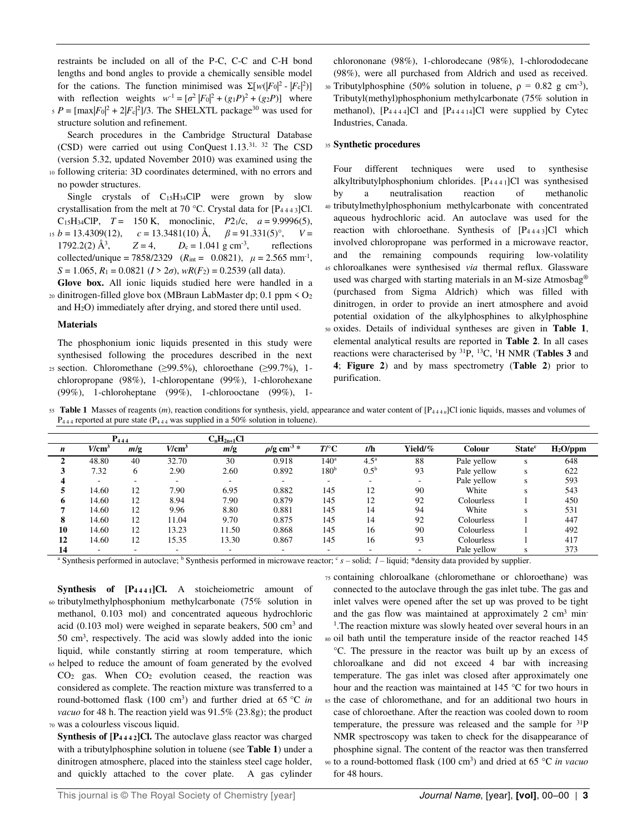restraints be included on all of the P-C, C-C and C-H bond lengths and bond angles to provide a chemically sensible model for the cations. The function minimised was  $\Sigma[w(|F_0|^2 - |F_c|^2)]$ with reflection weights  $w^{-1} = [\sigma^2 |F_0|^2 + (g_1 P)^2 + (g_2 P)]$  where  $\mathcal{P} = [\max |F_0|^2 + 2|F_c|^2]/3$ . The SHELXTL package<sup>30</sup> was used for structure solution and refinement.

 Search procedures in the Cambridge Structural Database (CSD) were carried out using ConQuest 1.13.31, 32 The CSD (version 5.32, updated November 2010) was examined using the

10 following criteria: 3D coordinates determined, with no errors and no powder structures.

 Single crystals of C15H34ClP were grown by slow crystallisation from the melt at 70 °C. Crystal data for  $[P_{4443}]$ Cl. C<sub>15</sub>H<sub>34</sub>ClP,  $T = 150$  K, monoclinic,  $P2_1/c$ ,  $a = 9.9996(5)$ , <sup>15</sup>*b* = 13.4309(12), *c* = 13.3481(10) Å, *β* = 91.331(5)°, *V* =

 $1792.2(2)$  Å<sup>3</sup>,  $Z = 4$ ,  $D_c = 1.041$  g cm<sup>-3</sup>, , reflections collected/unique =  $7858/2329$  ( $R_{int} = 0.0821$ ),  $\mu = 2.565$  mm<sup>-1</sup>,  $S = 1.065$ ,  $R_1 = 0.0821$   $(I > 2\sigma)$ ,  $wR(F_2) = 0.2539$  (all data).

**Glove box.** All ionic liquids studied here were handled in a 20 dinitrogen-filled glove box (MBraun LabMaster dp; 0.1 ppm  $\leq O_2$ ) and H2O) immediately after drying, and stored there until used.

#### **Materials**

The phosphonium ionic liquids presented in this study were synthesised following the procedures described in the next

25 section. Chloromethane ( $\geq$ 99.5%), chloroethane ( $\geq$ 99.7%), 1chloropropane (98%), 1-chloropentane (99%), 1-chlorohexane (99%), 1-chloroheptane (99%), 1-chlorooctane (99%), 1-

chlorononane (98%), 1-chlorodecane (98%), 1-chlorododecane (98%), were all purchased from Aldrich and used as received. 30 Tributylphosphine (50% solution in toluene,  $ρ = 0.82$  g cm<sup>-3</sup>), Tributyl(methyl)phosphonium methylcarbonate (75% solution in methanol),  $[P_{4444}]Cl$  and  $[P_{44414}]Cl$  were supplied by Cytec Industries, Canada.

#### <sup>35</sup>**Synthetic procedures**

Four different techniques were used to synthesise alkyltributylphosphonium chlorides. [P4 4 4 1]Cl was synthesised by a neutralisation reaction of methanolic <sup>40</sup>tributylmethylphosphonium methylcarbonate with concentrated aqueous hydrochloric acid. An autoclave was used for the reaction with chloroethane. Synthesis of [P4 4 4 3]Cl which involved chloropropane was performed in a microwave reactor, and the remaining compounds requiring low-volatility <sup>45</sup>chloroalkanes were synthesised *via* thermal reflux. Glassware used was charged with starting materials in an M-size Atmosbag® (purchased from Sigma Aldrich) which was filled with dinitrogen, in order to provide an inert atmosphere and avoid potential oxidation of the alkylphosphines to alkylphosphine <sup>50</sup>oxides. Details of individual syntheses are given in **Table 1**, elemental analytical results are reported in **Table 2**. In all cases reactions were characterised by <sup>31</sup>P, <sup>13</sup>C, <sup>1</sup>H NMR (**Tables 3** and **4**; **Figure 2**) and by mass spectrometry (**Table 2**) prior to purification.

55 Table 1 Masses of reagents (*m*), reaction conditions for synthesis, yield, appearance and water content of [P<sub>444n</sub>]Cl ionic liquids, masses and volumes of  $P_{444}$  reported at pure state ( $P_{444}$  was supplied in a 50% solution in toluene).

|                   |          | P <sub>444</sub> |                          | $C_nH_{2n+1}Cl$ |                              |               |                  |         |             |                           |            |
|-------------------|----------|------------------|--------------------------|-----------------|------------------------------|---------------|------------------|---------|-------------|---------------------------|------------|
| n                 | $V/cm^3$ | m/g              | V/cm <sup>3</sup>        | m/g             | $\rho$ /g cm <sup>-3</sup> * | T/C           | t/h              | Yield/% | Colour      | <b>State</b> <sup>c</sup> | $H2O$ /ppm |
|                   | 48.80    | 40               | 32.70                    | 30              | 0.918                        | $140^{\rm a}$ | 4.5 <sup>a</sup> | 88      | Pale yellow | s                         | 648        |
|                   | 7.32     | 6                | 2.90                     | 2.60            | 0.892                        | $180^{\rm b}$ | $0.5^{\rm b}$    | 93      | Pale yellow | s                         | 622        |
|                   |          |                  |                          |                 |                              | ۰             |                  |         | Pale yellow | s                         | 593        |
|                   | 14.60    | 12               | 7.90                     | 6.95            | 0.882                        | 145           | 12               | 90      | White       |                           | 543        |
| 6                 | 14.60    | 12               | 8.94                     | 7.90            | 0.879                        | 145           | 12               | 92      | Colourless  |                           | 450        |
|                   | 14.60    | 12               | 9.96                     | 8.80            | 0.881                        | 145           | 14               | 94      | White       |                           | 531        |
| $\mathbf o$<br>ō. | 14.60    | 12               | 11.04                    | 9.70            | 0.875                        | 145           | 14               | 92      | Colourless  |                           | 447        |
| 10                | 14.60    | 12               | 13.23                    | 11.50           | 0.868                        | 145           | 16               | 90      | Colourless  |                           | 492        |
| 12                | 14.60    | 12               | 15.35                    | 13.30           | 0.867                        | 145           | 16               | 93      | Colourless  |                           | 417        |
| 14                |          |                  | $\overline{\phantom{a}}$ |                 |                              | ۰             |                  |         | Pale yellow |                           | 373        |

<sup>a</sup> Synthesis performed in autoclave; <sup>b</sup> Synthesis performed in microwave reactor; <sup>c</sup> s – solid; *l* – liquid; \*density data provided by supplier.

**Synthesis of [P4 4 4 1]Cl.** A stoicheiometric amount of 60 tributylmethylphosphonium methylcarbonate (75% solution in methanol, 0.103 mol) and concentrated aqueous hydrochloric acid (0.103 mol) were weighed in separate beakers, 500 cm<sup>3</sup> and 50 cm<sup>3</sup> , respectively. The acid was slowly added into the ionic liquid, while constantly stirring at room temperature, which

<sup>65</sup>helped to reduce the amount of foam generated by the evolved  $CO<sub>2</sub>$  gas. When  $CO<sub>2</sub>$  evolution ceased, the reaction was considered as complete. The reaction mixture was transferred to a round-bottomed flask (100 cm<sup>3</sup>) and further dried at 65 °C *in vacuo* for 48 h. The reaction yield was 91.5% (23.8g); the product <sup>70</sup>was a colourless viscous liquid.

**Synthesis of [P4 4 4 2]Cl.** The autoclave glass reactor was charged with a tributylphosphine solution in toluene (see **Table 1**) under a dinitrogen atmosphere, placed into the stainless steel cage holder, and quickly attached to the cover plate. A gas cylinder

<sup>75</sup>containing chloroalkane (chloromethane or chloroethane) was connected to the autoclave through the gas inlet tube. The gas and inlet valves were opened after the set up was proved to be tight and the gas flow was maintained at approximately  $2 \text{ cm}^3$  min-<sup>1</sup>. The reaction mixture was slowly heated over several hours in an <sup>80</sup>oil bath until the temperature inside of the reactor reached 145 °C. The pressure in the reactor was built up by an excess of chloroalkane and did not exceed 4 bar with increasing temperature. The gas inlet was closed after approximately one hour and the reaction was maintained at 145 °C for two hours in <sup>85</sup>the case of chloromethane, and for an additional two hours in case of chloroethane. After the reaction was cooled down to room temperature, the pressure was released and the sample for <sup>31</sup>P NMR spectroscopy was taken to check for the disappearance of phosphine signal. The content of the reactor was then transferred to a round-bottomed flask (100 cm<sup>3</sup> <sup>90</sup>) and dried at 65 C *in vacuo* for 48 hours.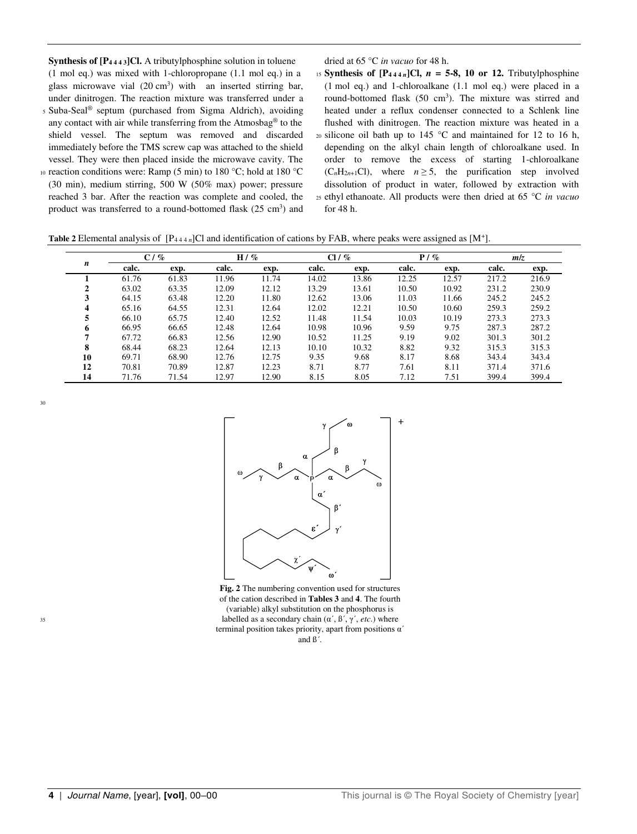**Synthesis of [P4 4 4 3]Cl.** A tributylphosphine solution in toluene (1 mol eq.) was mixed with 1-chloropropane (1.1 mol eq.) in a glass microwave vial  $(20 \text{ cm}^3)$  with an inserted stirring bar, under dinitrogen. The reaction mixture was transferred under a 5 Suba-Seal<sup>®</sup> septum (purchased from Sigma Aldrich), avoiding any contact with air while transferring from the Atmosbag® to the

- shield vessel. The septum was removed and discarded immediately before the TMS screw cap was attached to the shield vessel. They were then placed inside the microwave cavity. The
- 10 reaction conditions were: Ramp (5 min) to 180 °C; hold at 180 °C (30 min), medium stirring, 500 W (50% max) power; pressure reached 3 bar. After the reaction was complete and cooled, the product was transferred to a round-bottomed flask (25 cm<sup>3</sup>) and

dried at 65 °C *in vacuo* for 48 h.

15 **Synthesis of**  $[P_{444 n}]$ **Cl,**  $n = 5-8$ **, 10 or 12.** Tributylphosphine (1 mol eq.) and 1-chloroalkane (1.1 mol eq.) were placed in a round-bottomed flask (50 cm<sup>3</sup>). The mixture was stirred and heated under a reflux condenser connected to a Schlenk line flushed with dinitrogen. The reaction mixture was heated in a  $20$  silicone oil bath up to 145 °C and maintained for 12 to 16 h, depending on the alkyl chain length of chloroalkane used. In order to remove the excess of starting 1-chloroalkane  $(C<sub>n</sub>H<sub>2n+1</sub>Cl)$ , where  $n \ge 5$ , the purification step involved dissolution of product in water, followed by extraction with <sup>25</sup>ethyl ethanoate. All products were then dried at 65 °C *in vacuo* for 48 h.

**Table 2** Elemental analysis of  $[P_{444n}]$ Cl and identification of cations by FAB, where peaks were assigned as  $[M^+]$ .

|    |       | $C/$ % |       | $H / \%$ |       | $Cl / \%$ |       | $P / \%$ |       | m/z   |
|----|-------|--------|-------|----------|-------|-----------|-------|----------|-------|-------|
| n  | calc. | exp.   | calc. | exp.     | calc. | exp.      | calc. | exp.     | calc. | exp.  |
|    | 61.76 | 61.83  | 11.96 | 11.74    | 14.02 | 13.86     | 12.25 | 12.57    | 217.2 | 216.9 |
| 2  | 63.02 | 63.35  | 12.09 | 12.12    | 13.29 | 13.61     | 10.50 | 10.92    | 231.2 | 230.9 |
| 3  | 64.15 | 63.48  | 12.20 | 11.80    | 12.62 | 13.06     | 11.03 | 11.66    | 245.2 | 245.2 |
| 4  | 65.16 | 64.55  | 12.31 | 12.64    | 12.02 | 12.21     | 10.50 | 10.60    | 259.3 | 259.2 |
| 5  | 66.10 | 65.75  | 12.40 | 12.52    | 11.48 | 11.54     | 10.03 | 10.19    | 273.3 | 273.3 |
| 6  | 66.95 | 66.65  | 12.48 | 12.64    | 10.98 | 10.96     | 9.59  | 9.75     | 287.3 | 287.2 |
| 7  | 67.72 | 66.83  | 12.56 | 12.90    | 10.52 | 11.25     | 9.19  | 9.02     | 301.3 | 301.2 |
| 8  | 68.44 | 68.23  | 12.64 | 12.13    | 10.10 | 10.32     | 8.82  | 9.32     | 315.3 | 315.3 |
| 10 | 69.71 | 68.90  | 12.76 | 12.75    | 9.35  | 9.68      | 8.17  | 8.68     | 343.4 | 343.4 |
| 12 | 70.81 | 70.89  | 12.87 | 12.23    | 8.71  | 8.77      | 7.61  | 8.11     | 371.4 | 371.6 |
| 14 | 71.76 | 71.54  | 12.97 | 12.90    | 8.15  | 8.05      | 7.12  | 7.51     | 399.4 | 399.4 |





**Fig. 2** The numbering convention used for structures of the cation described in **Tables 3** and **4**. The fourth (variable) alkyl substitution on the phosphorus is  $\text{labelled as a secondary chain}$   $(\alpha', \beta', \gamma', \text{etc.})$  where terminal position takes priority, apart from positions α´ and ß´.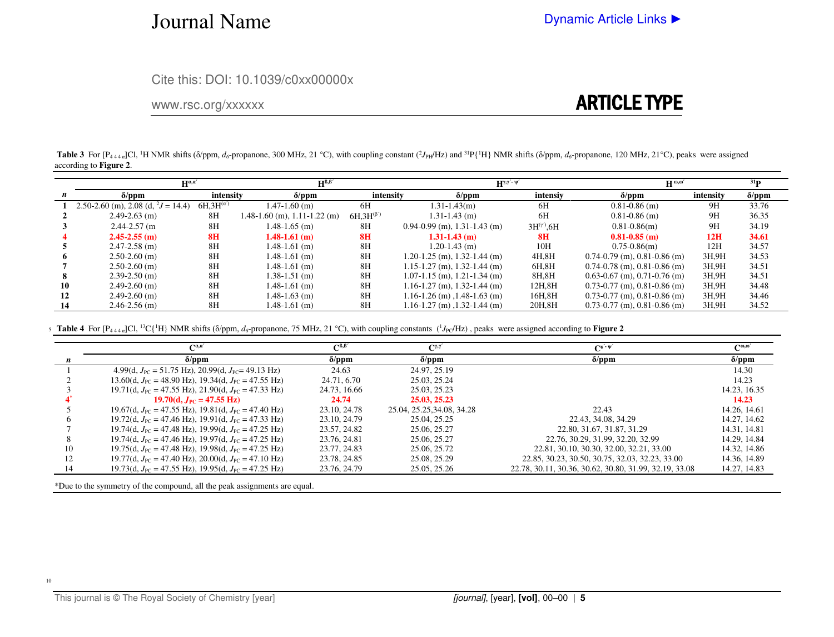### Journal Name

Cite this: DOI: 10.1039/c0xx00000x

#### www.rsc.org/xxxxxx

### ARTICLE TYPE

**Table 3** For  $[P_{444n}]$ Cl, <sup>1</sup>H NMR shifts ( $\delta$ /ppm,  $d_{\sigma}$ -propanone, 300 MHz, 21 °C), with coupling constant ( ${}^{2}J_{PH}/Hz$ ) and  ${}^{31}P\{$ <sup>1</sup>H) NMR shifts ( $\delta$ /ppm,  $d_{\sigma}$ -propanone, 120 MHz, 21 °C), peaks were assi according to **Figure 2**.

|    | $H^{B,B'}$<br>$H^{\alpha,\alpha}$                 |                     |                                  | $H^{\gamma,\gamma'-\psi'}$ | $H^{\omega,\omega'}$                 |                     |                                      |           |               |
|----|---------------------------------------------------|---------------------|----------------------------------|----------------------------|--------------------------------------|---------------------|--------------------------------------|-----------|---------------|
|    | $\delta$ /ppm                                     | intensity           | $\delta$ /ppm                    | intensity                  | $\delta$ /ppm                        | intensiy            | $\delta$ /ppm                        | intensity | $\delta$ /ppm |
|    | 2.50-2.60 (m), 2.08 (d, $^2J = \overline{14.4}$ ) | $6H.3H^{(\alpha')}$ | $1.47 - 1.60$ (m)                | 6H                         | $1.31 - 1.43(m)$                     | 6H                  | $0.81 - 0.86$ (m)                    | 9H        | 33.76         |
|    | $2.49 - 2.63$ (m)                                 | 8H                  | $1.48-1.60$ (m), $1.11-1.22$ (m) | $6H.3H^{(\beta)}$          | $1.31 - 1.43$ (m)                    | 6H                  | $0.81 - 0.86$ (m)                    | 9H        | 36.35         |
|    | $2.44 - 2.57$ (m)                                 | 8H                  | $1.48 - 1.65$ (m)                | 8H                         | $0.94 - 0.99$ (m), 1.31-1.43 (m)     | $3H^{(\gamma)}$ ,6H | $0.81 - 0.86$ (m)                    | 9H        | 34.19         |
|    | $2.45 - 2.55$ (m)                                 | 8H                  | $1.48 - 1.61$ (m)                | 8 <sub>H</sub>             | $1.31 - 1.43$ (m)                    | 8H                  | $0.81 - 0.85$ (m)                    | 12H       | 34.61         |
|    | $2.47 - 2.58$ (m)                                 | 8H                  | $1.48 - 1.61$ (m)                | 8H                         | $1.20 - 1.43$ (m)                    | 10H                 | $0.75 - 0.86$ (m)                    | 12H       | 34.57         |
|    | $2.50-2.60$ (m)                                   | 8H                  | $1.48 - 1.61$ (m)                | 8H                         | $1.20 - 1.25$ (m), $1.32 - 1.44$ (m) | 4H.8H               | $0.74 - 0.79$ (m), $0.81 - 0.86$ (m) | 3H.9H     | 34.53         |
|    | $2.50 - 2.60$ (m)                                 | 8H                  | $1.48 - 1.61$ (m)                | 8H                         | $1.15 - 1.27$ (m), $1.32 - 1.44$ (m) | 6H,8H               | $0.74 - 0.78$ (m), $0.81 - 0.86$ (m) | 3H.9H     | 34.51         |
|    | $2.39 - 2.50$ (m)                                 | 8H                  | $1.38 - 1.51$ (m)                | 8H                         | $1.07 - 1.15$ (m), $1.21 - 1.34$ (m) | 8H, 8H              | $0.63 - 0.67$ (m), 0.71 $-0.76$ (m)  | 3H,9H     | 34.51         |
| 10 | $2.49 - 2.60$ (m)                                 | 8H                  | $1.48 - 1.61$ (m)                | 8H                         | $1.16 - 1.27$ (m), $1.32 - 1.44$ (m) | 12H,8H              | $0.73-0.77$ (m), $0.81-0.86$ (m)     | 3H,9H     | 34.48         |
| 12 | $2.49 - 2.60$ (m)                                 | 8H                  | $1.48 - 1.63$ (m)                | 8H                         | $1.16 - 1.26$ (m), $1.48 - 1.63$ (m) | 16H,8H              | $0.73-0.77$ (m), $0.81-0.86$ (m)     | 3H,9H     | 34.46         |
| 14 | $2.46 - 2.56$ (m)                                 | 8H                  | 1.48-1.61 (m)                    | 8H                         | $1.16 - 1.27$ (m), $1.32 - 1.44$ (m) | 20H, 8H             | $0.73 - 0.77$ (m), $0.81 - 0.86$ (m) | 3H.9H     | 34.52         |

 **Table 4** For [P4 4 4 *n*]Cl, <sup>13</sup>C{<sup>1</sup>H} NMR shifts (δ/ppm, *d6*-propanone, 75 MHz, 21 °C), with coupling constants (<sup>1</sup> <sup>5</sup>*J*PC/Hz) , peaks were assigned according to **Figure 2**

|    | $\mathbf{C}^{a,a}$                                                         | $\mathsf{C}^{\mathsf{B},\mathsf{B}'}$ | $\mathbf{C}^{\gamma,\gamma'}$ | $\Gamma^{g' \text{-} \psi'}$                           | $C^{\omega,\omega'}$ |
|----|----------------------------------------------------------------------------|---------------------------------------|-------------------------------|--------------------------------------------------------|----------------------|
|    | $\delta$ /ppm                                                              | $\delta$ /ppm                         | $\delta$ /ppm                 | $\delta$ /ppm                                          | $\delta$ /ppm        |
|    | 4.99(d, $J_{\text{PC}}$ = 51.75 Hz), 20.99(d, $J_{\text{PC}}$ = 49.13 Hz)  | 24.63                                 | 24.97, 25.19                  |                                                        | 14.30                |
|    | 13.60(d, $J_{\text{PC}}$ = 48.90 Hz), 19.34(d, $J_{\text{PC}}$ = 47.55 Hz) | 24.71, 6.70                           | 25.03.25.24                   |                                                        | 14.23                |
|    | 19.71(d, $J_{PC}$ = 47.55 Hz), 21.90(d, $J_{PC}$ = 47.33 Hz)               | 24.73, 16.66                          | 25.03.25.23                   |                                                        | 14.23, 16.35         |
|    | 19.70(d, $J_{\rm PC} = 47.55$ Hz)                                          | 24.74                                 | 25.03, 25.23                  |                                                        | 14.23                |
|    | 19.67(d, $J_{\text{PC}}$ = 47.55 Hz), 19.81(d, $J_{\text{PC}}$ = 47.40 Hz) | 23.10, 24.78                          | 25.04, 25.25, 34.08, 34.28    | 22.43                                                  | 14.26, 14.61         |
|    | 19.72(d, $J_{\text{PC}}$ = 47.46 Hz), 19.91(d, $J_{\text{PC}}$ = 47.33 Hz) | 23.10, 24.79                          | 25.04.25.25                   | 22.43, 34.08, 34.29                                    | 14.27, 14.62         |
|    | 19.74(d, $J_{\text{PC}}$ = 47.48 Hz), 19.99(d, $J_{\text{PC}}$ = 47.25 Hz) | 23.57, 24.82                          | 25.06, 25.27                  | 22.80, 31.67, 31.87, 31.29                             | 14.31, 14.81         |
|    | 19.74(d, $J_{\text{PC}}$ = 47.46 Hz), 19.97(d, $J_{\text{PC}}$ = 47.25 Hz) | 23.76, 24.81                          | 25.06, 25.27                  | 22.76, 30.29, 31.99, 32.20, 32.99                      | 14.29, 14.84         |
| 10 | 19.75(d, $J_{\text{PC}}$ = 47.48 Hz), 19.98(d, $J_{\text{PC}}$ = 47.25 Hz) | 23.77, 24.83                          | 25.06, 25.72                  | 22.81, 30.10, 30.30, 32.00, 32.21, 33.00               | 14.32, 14.86         |
|    | 19.77(d, $J_{PC}$ = 47.40 Hz), 20.00(d, $J_{PC}$ = 47.10 Hz)               | 23.78, 24.85                          | 25.08, 25.29                  | 22.85, 30.23, 30.50, 30.75, 32.03, 32.23, 33.00        | 14.36, 14.89         |
|    | 19.73(d, $J_{\text{PC}}$ = 47.55 Hz), 19.95(d, $J_{\text{PC}}$ = 47.25 Hz) | 23.76, 24.79                          | 25.05, 25.26                  | 22.78, 30.11, 30.36, 30.62, 30.80, 31.99, 32.19, 33.08 | 14.27, 14.83         |

\*Due to the symmetry of the compound, all the peak assignments are equal.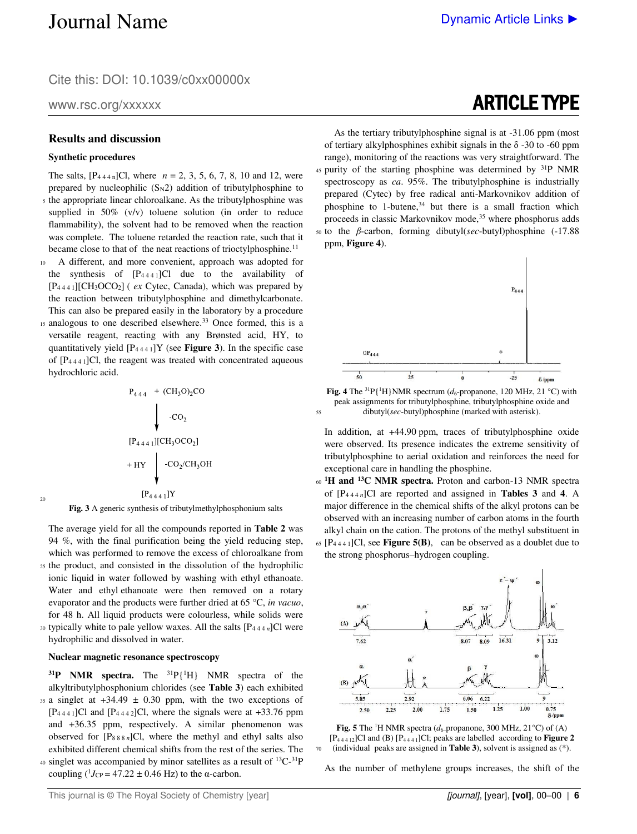Cite this: DOI: 10.1039/c0xx00000x

www.rsc.org/xxxxxx

#### **Results and discussion**

#### **Synthetic procedures**

20

- The salts,  $[P_{444 n}]$ Cl, where  $n = 2, 3, 5, 6, 7, 8, 10$  and 12, were prepared by nucleophilic  $(S_N2)$  addition of tributylphosphine to <sup>5</sup>the appropriate linear chloroalkane. As the tributylphosphine was supplied in 50% (v/v) toluene solution (in order to reduce flammability), the solvent had to be removed when the reaction was complete. The toluene retarded the reaction rate, such that it became close to that of the neat reactions of trioctylphosphine.<sup>11</sup>
- <sup>10</sup>A different, and more convenient, approach was adopted for the synthesis of  $[P_{4441}]Cl$  due to the availability of [P4 4 4 1][CH3OCO2] ( *ex* Cytec, Canada), which was prepared by the reaction between tributylphosphine and dimethylcarbonate. This can also be prepared easily in the laboratory by a procedure
- 15 analogous to one described elsewhere.<sup>33</sup> Once formed, this is a versatile reagent, reacting with any Brønsted acid, HY, to quantitatively yield [P4 4 4 1]Y (see **Figure 3**). In the specific case of [P4 4 4 1]Cl, the reagent was treated with concentrated aqueous hydrochloric acid.

$$
P_{444} + (CH_3O)_2CO
$$
\n
$$
\downarrow -CO_2
$$
\n
$$
[P_{4441}][CH_3OCO_2]
$$
\n
$$
+ HY \downarrow -CO_2/CH_3OH
$$
\n
$$
[P_{4441}]Y
$$

**Fig. 3** A generic synthesis of tributylmethylphosphonium salts

The average yield for all the compounds reported in **Table 2** was 94 %, with the final purification being the yield reducing step, which was performed to remove the excess of chloroalkane from <sup>25</sup>the product, and consisted in the dissolution of the hydrophilic ionic liquid in water followed by washing with ethyl ethanoate. Water and ethyl ethanoate were then removed on a rotary evaporator and the products were further dried at 65 °C, *in vacuo*, for 48 h. All liquid products were colourless, while solids were <sup>30</sup>typically white to pale yellow waxes. All the salts [P4 4 4 *n*]Cl were hydrophilic and dissolved in water.

#### **Nuclear magnetic resonance spectroscopy**

**<sup>31</sup>P NMR spectra.** The <sup>31</sup>P{<sup>1</sup>H} NMR spectra of the alkyltributylphosphonium chlorides (see **Table 3**) each exhibited 35 a singlet at  $+34.49 \pm 0.30$  ppm, with the two exceptions of

- $[P_{4441}]$ Cl and  $[P_{4442}]$ Cl, where the signals were at  $+33.76$  ppm and +36.35 ppm, respectively. A similar phenomenon was observed for  $[P_{888 n}]$ Cl, where the methyl and ethyl salts also exhibited different chemical shifts from the rest of the series. The
- 40 singlet was accompanied by minor satellites as a result of  ${}^{13}C_{-}{}^{31}P$ coupling  $(^1J_{CP} = 47.22 \pm 0.46 \text{ Hz})$  to the  $\alpha$ -carbon.

# ARTICLE TYPE

 As the tertiary tributylphosphine signal is at -31.06 ppm (most of tertiary alkylphosphines exhibit signals in the  $\delta$  -30 to -60 ppm range), monitoring of the reactions was very straightforward. The

 $45$  purity of the starting phosphine was determined by  $31$ P NMR spectroscopy as *ca*. 95%. The tributylphosphine is industrially prepared (Cytec) by free radical anti-Markovnikov addition of phosphine to 1-butene,<sup>34</sup> but there is a small fraction which proceeds in classic Markovnikov mode,<sup>35</sup> where phosphorus adds <sup>50</sup>to the *β*-carbon, forming dibutyl(*sec*-butyl)phosphine (-17.88 ppm, **Figure 4**).



**Fig. 4** The <sup>31</sup>P{<sup>1</sup>H}NMR spectrum ( $d_6$ -propanone, 120 MHz, 21 °C) with peak assignments for tributylphosphine, tributylphosphine oxide and <sup>55</sup>dibutyl(*sec*-butyl)phosphine (marked with asterisk).

In addition, at +44.90 ppm, traces of tributylphosphine oxide were observed. Its presence indicates the extreme sensitivity of tributylphosphine to aerial oxidation and reinforces the need for exceptional care in handling the phosphine.

- **<sup>1</sup>H and** 60 **<sup>13</sup>C NMR spectra.** Proton and carbon-13 NMR spectra of [P4 4 4 *n*]Cl are reported and assigned in **Tables 3** and **4**. A major difference in the chemical shifts of the alkyl protons can be observed with an increasing number of carbon atoms in the fourth alkyl chain on the cation. The protons of the methyl substituent in  $65$  [P<sub>4441</sub>]Cl, see **Figure 5(B)**, can be observed as a doublet due to
- the strong phosphorus–hydrogen coupling.



**Fig. 5** The <sup>1</sup>H NMR spectra ( $d_6$ -propanone, 300 MHz, 21<sup>o</sup>C) of (A) [P4 4 4 12]Cl and (B) [P4 4 4 1]Cl; peaks are labelled according to **Figure 2** <sup>70</sup>(individual peaks are assigned in **Table 3**), solvent is assigned as (\*).

As the number of methylene groups increases, the shift of the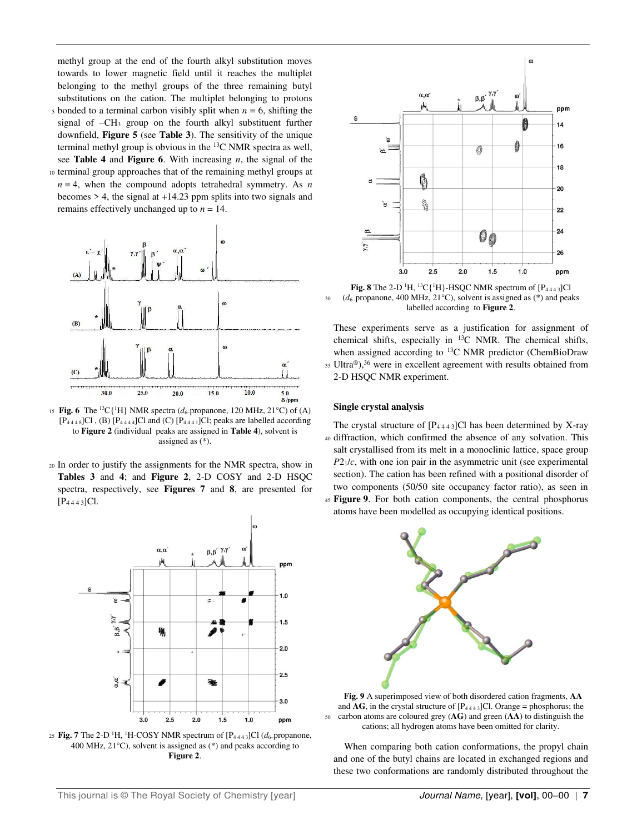methyl group at the end of the fourth alkyl substitution moves towards to lower magnetic field until it reaches the multiplet belonging to the methyl groups of the three remaining butyl substitutions on the cation. The multiplet belonging to protons  $\frac{1}{5}$  bonded to a terminal carbon visibly split when  $n = 6$ , shifting the

- signal of –CH3 group on the fourth alkyl substituent further downfield, **Figure 5** (see **Table 3**). The sensitivity of the unique terminal methyl group is obvious in the <sup>13</sup>C NMR spectra as well, see **Table 4** and **Figure 6**. With increasing *n*, the signal of the
- 10 terminal group approaches that of the remaining methyl groups at  $n = 4$ , when the compound adopts tetrahedral symmetry. As *n* becomes  $> 4$ , the signal at  $+14.23$  ppm splits into two signals and remains effectively unchanged up to  $n = 14$ .



15 **Fig. 6** The <sup>13</sup>C{<sup>1</sup>H} NMR spectra ( $d_6$ -propanone, 120 MHz, 21°C) of (A)  $[P_{4448}]Cl$ , (B)  $[P_{4444}]Cl$  and (C)  $[P_{4441}]Cl$ ; peaks are labelled according to **Figure 2** (individual peaks are assigned in **Table 4**), solvent is assigned as (\*).

<sup>20</sup>In order to justify the assignments for the NMR spectra, show in **Tables 3** and **4**; and **Figure 2**, 2-D COSY and 2-D HSQC spectra, respectively, see **Figures 7** and **8**, are presented for [P4 4 4 3]Cl.







**Fig. 8** The 2-D <sup>1</sup>H, <sup>13</sup>C{<sup>1</sup>H}-HSQC NMR spectrum of  $[P_{4443}]$ Cl  $30$  (*d*<sub>6</sub> -propanone, 400 MHz, 21<sup>o</sup>C), solvent is assigned as (\*) and peaks labelled according to **Figure 2**.

These experiments serve as a justification for assignment of chemical shifts, especially in <sup>13</sup>C NMR. The chemical shifts, when assigned according to <sup>13</sup>C NMR predictor (ChemBioDraw 35 Ultra®),<sup>36</sup> were in excellent agreement with results obtained from 2-D HSQC NMR experiment.

#### **Single crystal analysis**

The crystal structure of  $[P_{4443}]$ Cl has been determined by X-ray <sup>40</sup>diffraction, which confirmed the absence of any solvation. This salt crystallised from its melt in a monoclinic lattice, space group *P*21/*c*, with one ion pair in the asymmetric unit (see experimental section). The cation has been refined with a positional disorder of two components (50/50 site occupancy factor ratio), as seen in

<sup>45</sup>**Figure 9**. For both cation components, the central phosphorus atoms have been modelled as occupying identical positions.



**Fig. 9** A superimposed view of both disordered cation fragments, **AA** and  $\overline{AG}$ , in the crystal structure of  $[P_{4443}]$ Cl. Orange = phosphorus; the <sup>50</sup>carbon atoms are coloured grey (**AG**) and green (**AA**) to distinguish the cations; all hydrogen atoms have been omitted for clarity.

 When comparing both cation conformations, the propyl chain and one of the butyl chains are located in exchanged regions and these two conformations are randomly distributed throughout the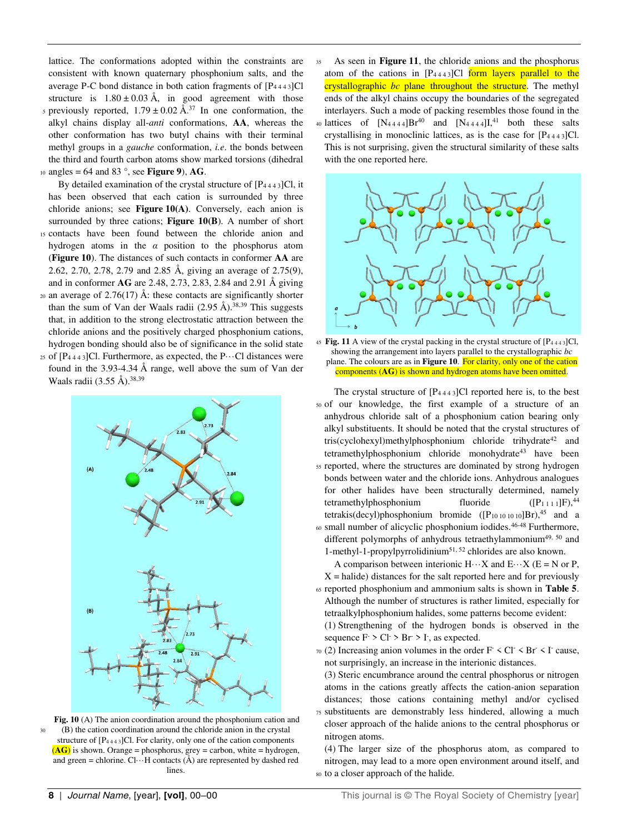lattice. The conformations adopted within the constraints are consistent with known quaternary phosphonium salts, and the average P-C bond distance in both cation fragments of  $[P_{4443}]Cl$ structure is  $1.80 \pm 0.03$  Å, in good agreement with those

s previously reported,  $1.79 \pm 0.02$  Å.<sup>37</sup> In one conformation, the alkyl chains display all-*anti* conformations, **AA**, whereas the other conformation has two butyl chains with their terminal methyl groups in a *gauche* conformation, *i.e*. the bonds between the third and fourth carbon atoms show marked torsions (dihedral  $10 \text{ angles} = 64 \text{ and } 83^\circ$ , see **Figure 9**), **AG**.

By detailed examination of the crystal structure of  $[P_{4443}]Cl$ , it has been observed that each cation is surrounded by three chloride anions; see **Figure 10(A)**. Conversely, each anion is surrounded by three cations; **Figure 10(B**). A number of short <sup>15</sup>contacts have been found between the chloride anion and

- hydrogen atoms in the *α* position to the phosphorus atom (**Figure 10**). The distances of such contacts in conformer **AA** are 2.62, 2.70, 2.78, 2.79 and 2.85 Å, giving an average of 2.75(9), and in conformer **AG** are 2.48, 2.73, 2.83, 2.84 and 2.91 Å giving
- 20 an average of 2.76(17) Å: these contacts are significantly shorter than the sum of Van der Waals radii  $(2.95 \text{ Å})^{38,39}$  This suggests that, in addition to the strong electrostatic attraction between the chloride anions and the positively charged phosphonium cations, hydrogen bonding should also be of significance in the solid state
- 25 of  $[P_{4443}]$ Cl. Furthermore, as expected, the P $\cdots$ Cl distances were found in the 3.93-4.34 Å range, well above the sum of Van der Waals radii  $(3.55 \text{ Å})^{0.38,39}$



**Fig. 10** (A) The anion coordination around the phosphonium cation and <sup>30</sup>(B) the cation coordination around the chloride anion in the crystal structure of  $[P_{4443}]$ Cl. For clarity, only one of the cation components  $(\overline{AG})$  is shown. Orange = phosphorus, grey = carbon, white = hydrogen, and green = chlorine.  $Cl \cdots H$  contacts ( $\AA$ ) are represented by dashed red lines.

As seen in **Figure 11**, the chloride anions and the phosphorus atom of the cations in  $[P_{4443}]$ Cl form layers parallel to the crystallographic *bc* plane throughout the structure. The methyl ends of the alkyl chains occupy the boundaries of the segregated interlayers. Such a mode of packing resembles those found in the 40 lattices of  $[N_{4444}]Br^{40}$  and  $[N_{4444}]I^{41}$  both these salts crystallising in monoclinic lattices, as is the case for  $[P_{4443}]Cl$ . This is not surprising, given the structural similarity of these salts with the one reported here.



 $45$  **Fig. 11** A view of the crystal packing in the crystal structure of  $[P_{4443}]Cl$ , showing the arrangement into layers parallel to the crystallographic *bc* plane. The colours are as in **Figure 10**. For clarity, only one of the cation components (**AG**) is shown and hydrogen atoms have been omitted.

The crystal structure of  $[P_{4443}]$ Cl reported here is, to the best <sup>50</sup>of our knowledge, the first example of a structure of an anhydrous chloride salt of a phosphonium cation bearing only alkyl substituents. It should be noted that the crystal structures of tris(cyclohexyl)methylphosphonium chloride trihydrate<sup>42</sup> and tetramethylphosphonium chloride monohydrate<sup>43</sup> have been <sup>55</sup>reported, where the structures are dominated by strong hydrogen bonds between water and the chloride ions. Anhydrous analogues for other halides have been structurally determined, namely tetramethylphosphonium fluoride  $([P_{1 1 1}]F)$ ,<sup>44</sup> tetrakis(decyl)phosphonium bromide  $([P_{10 10 10 10}]Br)^{45}$  and a  $60$  small number of alicyclic phosphonium iodides.<sup>46-48</sup> Furthermore, different polymorphs of anhydrous tetraethylammonium<sup>49, 50</sup> and 1-methyl-1-propylpyrrolidinium51, 52 chlorides are also known.

A comparison between interionic  $H \cdots X$  and  $E \cdots X$  ( $E = N$  or P,  $X = \text{halide}$ ) distances for the salt reported here and for previously

- <sup>65</sup>reported phosphonium and ammonium salts is shown in **Table 5**. Although the number of structures is rather limited, especially for tetraalkylphosphonium halides, some patterns become evident: (1) Strengthening of the hydrogen bonds is observed in the sequence  $F > Cl > Br > I$ , as expected.
- $\pi$  (2) Increasing anion volumes in the order F < Cl < Br < I cause, not surprisingly, an increase in the interionic distances.
- (3) Steric encumbrance around the central phosphorus or nitrogen atoms in the cations greatly affects the cation-anion separation distances; those cations containing methyl and/or cyclised
- <sup>75</sup>substituents are demonstrably less hindered, allowing a much closer approach of the halide anions to the central phosphorus or nitrogen atoms.

(4) The larger size of the phosphorus atom, as compared to nitrogen, may lead to a more open environment around itself, and 80 to a closer approach of the halide.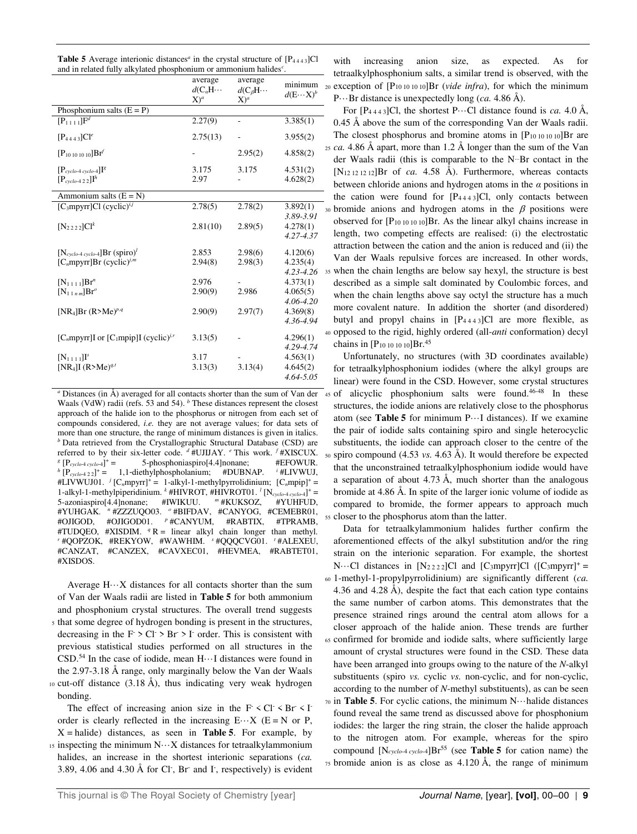| <b>Table 5</b> Average interionic distances <sup><i>a</i></sup> in the crystal structure of $[P_{4443}]Cl$ |  |
|------------------------------------------------------------------------------------------------------------|--|
| and in related fully alkylated phosphonium or ammonium halides <sup>c</sup> .                              |  |

|                                                            | average<br>$d(C_aH\cdots$<br>$X)^a$ | average<br>$d(C_{\beta}H\cdots$<br>$X)^a$ | minimum<br>$d(E \cdots X)^b$ |
|------------------------------------------------------------|-------------------------------------|-------------------------------------------|------------------------------|
| Phosphonium salts $(E = P)$                                |                                     |                                           |                              |
| $[P_{1111}]F^d$                                            | 2.27(9)                             | $\overline{a}$                            | 3.385(1)                     |
| $[P_{4443}]Cl^e$                                           | 2.75(13)                            |                                           | 3.955(2)                     |
| $[P_{10101010}]Br^f$                                       |                                     | 2.95(2)                                   | 4.858(2)                     |
| $[P_{\text{cyclo-4}\text{ cyclo-4}}]$ <sup>[8</sup> ]      | 3.175                               | 3.175                                     | 4.531(2)                     |
| $[P_{\text{cyclo-4 2 2}}]I^h$                              | 2.97                                |                                           | 4.628(2)                     |
| Ammonium salts $(E = N)$                                   |                                     |                                           |                              |
| [ $C_3$ mpyrr]Cl (cyclic) <sup><i>i,j</i></sup>            | 2.78(5)                             | 2.78(2)                                   | 3.892(1)                     |
|                                                            |                                     |                                           | 3.89-3.91                    |
| $[N_{2222}]Cl^k$                                           | 2.81(10)                            | 2.89(5)                                   | 4.278(1)                     |
|                                                            |                                     |                                           | 4.27-4.37                    |
| $[N_{\text{cycle-4 cycle-4}}]Br$ (spiro) <sup>1</sup>      | 2.853                               | 2.98(6)                                   | 4.120(6)                     |
| [ $C_n$ mpyrr]Br (cyclic) <sup>j,m</sup>                   | 2.94(8)                             | 2.98(3)                                   | 4.235(4)                     |
|                                                            |                                     |                                           | 4.23-4.26                    |
| $[N_{111}]Br^n$                                            | 2.976                               |                                           | 4.373(1)                     |
| $[N_{11nm}]Br^o$                                           | 2.90(9)                             | 2.986                                     | 4.065(5)                     |
|                                                            |                                     |                                           | 4.06-4.20                    |
| [NR <sub>4</sub> ]Br (R>Me) <sup>p,q</sup>                 | 2.90(9)                             | 2.97(7)                                   | 4.369(8)                     |
|                                                            |                                     |                                           | 4.36-4.94                    |
| [ $C_n$ mpyrr]I or [ $C_1$ mpip]I (cyclic) <sup>j, r</sup> | 3.13(5)                             |                                           | 4.296(1)                     |
|                                                            |                                     |                                           | 4.29-4.74                    |
| $[N_{1111}]$ <sup>r</sup>                                  | 3.17                                |                                           | 4.563(1)                     |
| [NR <sub>4</sub> ]I (R>Me) <sup>q,t</sup>                  | 3.13(3)                             | 3.13(4)                                   | 4.645(2)                     |
|                                                            |                                     |                                           | 4.64-5.05                    |

*a* Distances (in Å) averaged for all contacts shorter than the sum of Van der Waals (VdW) radii (refs. 53 and 54). <sup>*b*</sup> These distances represent the closest approach of the halide ion to the phosphorus or nitrogen from each set of compounds considered, *i.e.* they are not average values; for data sets of more than one structure, the range of minimum distances is given in italics. *b* Data retrieved from the Crystallographic Structural Database (CSD) are referred to by their six-letter code. <sup>d</sup> #UJIJAY. <sup>e</sup> This work. <sup>f</sup> #XISCUX. *g* [P*cyclo*-4 *cyclo*-<sup>4</sup>] + = 5-phosphoniaspiro[4.4]nonane; #EFOWUR.  $h$ <sup> $h$ </sup>  $[P_{\text{cycle-4 2 2}}]^+$  = 1,1-diethylphospholanium; #DUBNAP. *i*  $^i$  #LIVWUJ, #LIVWUJ01. *<sup>j</sup>* [C*n*mpyrr]<sup>+</sup> = 1-alkyl-1-methylpyrrolidinium; [C*n*mpip]<sup>+</sup> = 1-alkyl-1-methylpiperidinium. *<sup>k</sup>* #HIVROT, #HIVROT01. *<sup>l</sup>* [N*cyclo*-4 *cyclo*-<sup>4</sup>] <sup>+</sup> = 5-azoniaspiro[4.4]nonane; #IWIKUU. *<sup>m</sup>* #KUKSOZ, #YUHFUD, #YUHGAK. *<sup>n</sup>* #ZZZUQO03. *<sup>o</sup>* #BIFDAV, #CANYOG, #CEMEBR01, #OJIGOD, #OJIGOD01. *<sup>p</sup>* #CANYUM, #RABTIX, #TPRAMB, #TUDQEO, #XISDIM.  ${}^q$  R = linear alkyl chain longer than methyl. *r* #QOPZOK, #REKYOW, #WAWHIM. *<sup>s</sup>* #QQQCVG01. *<sup>t</sup>* #ALEXEU, #CANZAT, #CANZEX, #CAVXEC01, #HEVMEA, #RABTET01, #XISDOS.

Average  $H \cdots X$  distances for all contacts shorter than the sum of Van der Waals radii are listed in **Table 5** for both ammonium and phosphonium crystal structures. The overall trend suggests <sup>5</sup>that some degree of hydrogen bonding is present in the structures, decreasing in the  $F > Cl > Br > I$  order. This is consistent with previous statistical studies performed on all structures in the CSD.<sup>54</sup> In the case of iodide, mean  $H \cdots I$  distances were found in the 2.97-3.18 Å range, only marginally below the Van der Waals  $10$  cut-off distance (3.18 Å), thus indicating very weak hydrogen bonding.

The effect of increasing anion size in the  $F \leq Cl \leq Br \leq I$ order is clearly reflected in the increasing  $E \cdots X$  ( $E = N$  or P, X = halide) distances, as seen in **Table 5**. For example, by  $15$  inspecting the minimum  $N \cdots X$  distances for tetraalkylammonium halides, an increase in the shortest interionic separations (*ca.* 3.89, 4.06 and 4.30 Å for Cl, Br and I, respectively) is evident

with increasing anion size, as expected. As for tetraalkylphosphonium salts, a similar trend is observed, with the 20 exception of  $[P_{10 10 10 10}]$ Br (*vide infra*), for which the minimum P···Br distance is unexpectedly long (*ca.* 4.86 Å).

For  $[P_{4443}]$ Cl, the shortest P $\cdots$ Cl distance found is *ca.* 4.0 Å, 0.45 Å above the sum of the corresponding Van der Waals radii. The closest phosphorus and bromine atoms in [P10 10 10 10]Br are <sup>25</sup>*ca.* 4.86 Å apart, more than 1.2 Å longer than the sum of the Van der Waals radii (this is comparable to the N<sup>...</sup>Br contact in the [N12 12 12 12]Br of *ca.* 4.58 Å). Furthermore, whereas contacts between chloride anions and hydrogen atoms in the *α* positions in the cation were found for  $[P_{4443}]Cl$ , only contacts between 30 bromide anions and hydrogen atoms in the  $\beta$  positions were observed for  $[P_{10 10 10 10}]$ Br. As the linear alkyl chains increase in length, two competing effects are realised: (i) the electrostatic attraction between the cation and the anion is reduced and (ii) the Van der Waals repulsive forces are increased. In other words, 35 when the chain lengths are below say hexyl, the structure is best described as a simple salt dominated by Coulombic forces, and when the chain lengths above say octyl the structure has a much more covalent nature. In addition the shorter (and disordered) butyl and propyl chains in  $[P_{4443}]Cl$  are more flexible, as <sup>40</sup>opposed to the rigid, highly ordered (all-*anti* conformation) decyl chains in  $[P_{10 10 10 10}]$ Br.<sup>45</sup>

 Unfortunately, no structures (with 3D coordinates available) for tetraalkylphosphonium iodides (where the alkyl groups are linear) were found in the CSD. However, some crystal structures 45 of alicyclic phosphonium salts were found.<sup>46-48</sup> In these structures, the iodide anions are relatively close to the phosphorus atom (see **Table 5** for minimum P···I distances). If we examine the pair of iodide salts containing spiro and single heterocyclic substituents, the iodide can approach closer to the centre of the <sup>50</sup>spiro compound (4.53 *vs.* 4.63 Å). It would therefore be expected that the unconstrained tetraalkylphosphonium iodide would have a separation of about 4.73 Å, much shorter than the analogous bromide at 4.86 Å. In spite of the larger ionic volume of iodide as compared to bromide, the former appears to approach much 55 closer to the phosphorus atom than the latter.

 Data for tetraalkylammonium halides further confirm the aforementioned effects of the alkyl substitution and/or the ring strain on the interionic separation. For example, the shortest N···Cl distances in  $[N_{2222}]$ Cl and  $[C_3mpyrr]$ Cl  $([C_3mpyrr]^+$  = <sup>60</sup>1-methyl-1-propylpyrrolidinium) are significantly different (*ca.* 4.36 and 4.28 Å), despite the fact that each cation type contains the same number of carbon atoms. This demonstrates that the presence strained rings around the central atom allows for a closer approach of the halide anion. These trends are further <sup>65</sup>confirmed for bromide and iodide salts, where sufficiently large amount of crystal structures were found in the CSD. These data have been arranged into groups owing to the nature of the *N*-alkyl substituents (spiro *vs.* cyclic *vs.* non-cyclic, and for non-cyclic, according to the number of *N*-methyl substituents), as can be seen <sup>70</sup>in **Table 5**. For cyclic cations, the minimum N···halide distances

found reveal the same trend as discussed above for phosphonium iodides: the larger the ring strain, the closer the halide approach to the nitrogen atom. For example, whereas for the spiro compound  $[N_{\text{cycle-4 cycle-4}}]Br^{55}$  (see **Table 5** for cation name) the  $75$  bromide anion is as close as  $4.120 \text{ Å}$ , the range of minimum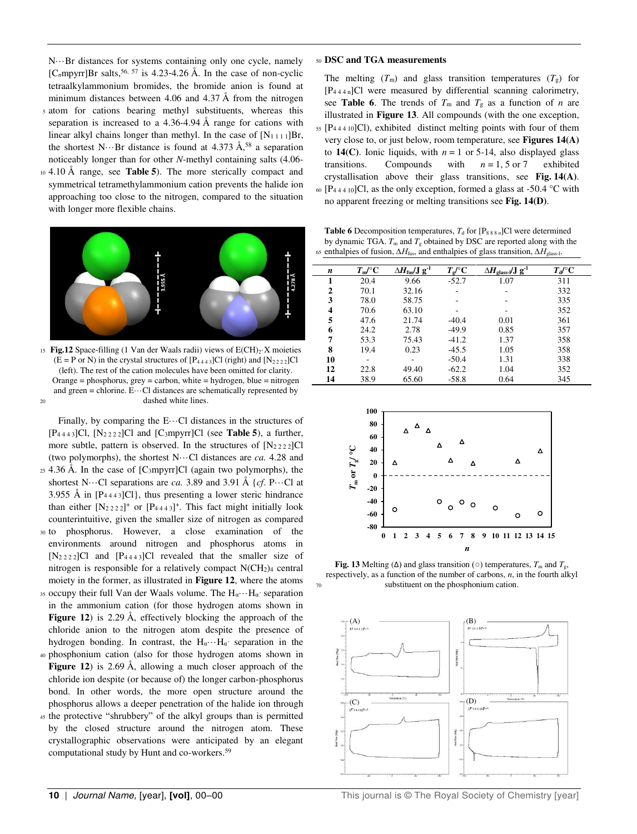N···Br distances for systems containing only one cycle, namely  $[C<sub>n</sub>mpyrr]Br$  salts,<sup>56, 57</sup> is 4.23-4.26 Å. In the case of non-cyclic tetraalkylammonium bromides, the bromide anion is found at minimum distances between 4.06 and 4.37 Å from the nitrogen

- <sup>5</sup>atom for cations bearing methyl substituents, whereas this separation is increased to a 4.36-4.94 Å range for cations with linear alkyl chains longer than methyl. In the case of  $[N_{1111}]Br$ , the shortest N $\cdots$ Br distance is found at 4.373 Å,<sup>58</sup> a separation noticeably longer than for other *N*-methyl containing salts (4.06-
- <sup>10</sup>4.10 Å range, see **Table 5**). The more sterically compact and symmetrical tetramethylammonium cation prevents the halide ion approaching too close to the nitrogen, compared to the situation with longer more flexible chains.



15 Fig.12 Space-filling (1 Van der Waals radii) views of E(CH)<sub>2</sub>·X moieties  $(E = P \text{ or } N)$  in the crystal structures of  $[P_{4443}]Cl$  (right) and  $[N_{2222}]Cl$ (left). The rest of the cation molecules have been omitted for clarity. Orange = phosphorus, grey = carbon, white = hydrogen, blue = nitrogen and green = chlorine.  $E \cdots C1$  distances are schematically represented by 20 dashed white lines.

Finally, by comparing the  $E \cdots C1$  distances in the structures of [P4 4 4 3]Cl, [N2 2 2 2]Cl and [C3mpyrr]Cl (see **Table 5**), a further, more subtle, pattern is observed. In the structures of  $[N_{2222}]Cl$ (two polymorphs), the shortest N···Cl distances are *ca.* 4.28 and <sup>25</sup>4.36 Å. In the case of [C3mpyrr]Cl (again two polymorphs), the

- shortest N $\cdots$ Cl separations are *ca*. 3.89 and 3.91 Å {*cf*. P $\cdots$ Cl at 3.955 Å in  $[P_{4443}]$ Cl}, thus presenting a lower steric hindrance than either  $[N_2 222]^+$  or  $[P_{4443}]^+$ . This fact might initially look counterintuitive, given the smaller size of nitrogen as compared
- <sup>30</sup>to phosphorus. However, a close examination of the environments around nitrogen and phosphorus atoms in  $[N_{2 2 2 2}]$ Cl and  $[P_{4 4 4 3}]$ Cl revealed that the smaller size of nitrogen is responsible for a relatively compact  $N(CH_2)_4$  central moiety in the former, as illustrated in **Figure 12**, where the atoms
- 35 occupy their full Van der Waals volume. The  $H_{\alpha} \cdots H_{\alpha}$ <sup>c</sup> separation in the ammonium cation (for those hydrogen atoms shown in **Figure 12**) is 2.29 Å, effectively blocking the approach of the chloride anion to the nitrogen atom despite the presence of hydrogen bonding. In contrast, the  $H_{\alpha} \cdots H_{\alpha}$  separation in the
- <sup>40</sup>phosphonium cation (also for those hydrogen atoms shown in **Figure 12**) is 2.69 Å, allowing a much closer approach of the chloride ion despite (or because of) the longer carbon-phosphorus bond. In other words, the more open structure around the phosphorus allows a deeper penetration of the halide ion through
- 45 the protective "shrubbery" of the alkyl groups than is permitted by the closed structure around the nitrogen atom. These crystallographic observations were anticipated by an elegant computational study by Hunt and co-workers.<sup>59</sup>

#### <sup>50</sup>**DSC and TGA measurements**

 $\overline{a}$ 

The melting  $(T_m)$  and glass transition temperatures  $(T_g)$  for [P4 4 4 n]Cl were measured by differential scanning calorimetry, see **Table 6**. The trends of  $T_m$  and  $T_g$  as a function of *n* are illustrated in **Figure 13**. All compounds (with the one exception,  $55$  [P<sub>44410</sub>]Cl), exhibited distinct melting points with four of them very close to, or just below, room temperature, see **Figures 14(A)**  to **14(C)**. Ionic liquids, with  $n = 1$  or 5-14, also displayed glass transitions. Compounds with  $n = 1, 5$  or 7 exhibited crystallisation above their glass transitions, see **Fig. 14(A)**. 60 [P<sub>44410</sub>]Cl, as the only exception, formed a glass at -50.4 °C with no apparent freezing or melting transitions see **Fig. 14(D)**.

**Table 6** Decomposition temperatures,  $T_d$  for  $[P_{888 n}]$ Cl were determined by dynamic TGA.  $T_m$  and  $T_g$  obtained by DSC are reported along with the 65 enthalpies of fusion,  $\Delta H_{\text{fus}}$ , and enthalpies of glass transition,  $\Delta H_{\text{glass-1}}$ .

| n  | $T_{\rm m}/\rm{^{\circ}C}$ | $\Delta H_{\rm fus} / J g^{-1}$ | $T_{e}$ /°C | $\Delta H_{\rm glass}$ -/J g <sup>-1</sup> | $T_{d}/\text{C}$ |  |
|----|----------------------------|---------------------------------|-------------|--------------------------------------------|------------------|--|
| 1  | 20.4                       | 9.66                            | $-52.7$     | 1.07                                       | 311              |  |
| 2  | 70.1                       | 32.16                           |             |                                            | 332              |  |
| 3  | 78.0                       | 58.75                           |             |                                            | 335              |  |
| 4  | 70.6                       | 63.10                           |             |                                            | 352              |  |
| 5  | 47.6                       | 21.74                           | $-40.4$     | 0.01                                       | 361              |  |
| 6  | 24.2                       | 2.78                            | $-49.9$     | 0.85                                       | 357              |  |
| 7  | 53.3                       | 75.43                           | $-41.2$     | 1.37                                       | 358              |  |
| 8  | 19.4                       | 0.23                            | $-45.5$     | 1.05                                       | 358              |  |
| 10 | ۰                          |                                 | $-50.4$     | 1.31                                       | 338              |  |
| 12 | 22.8                       | 49.40                           | $-62.2$     | 1.04                                       | 352              |  |
| 14 | 38.9                       | 65.60                           | $-58.8$     | 0.64                                       | 345              |  |
|    |                            |                                 |             |                                            |                  |  |



**Fig. 13** Melting ( $\Delta$ ) and glass transition ( $\circ$ ) temperatures,  $T_m$  and  $T_g$ , respectively, as a function of the number of carbons, *n*, in the fourth alkyl substituent on the phosphonium cation.

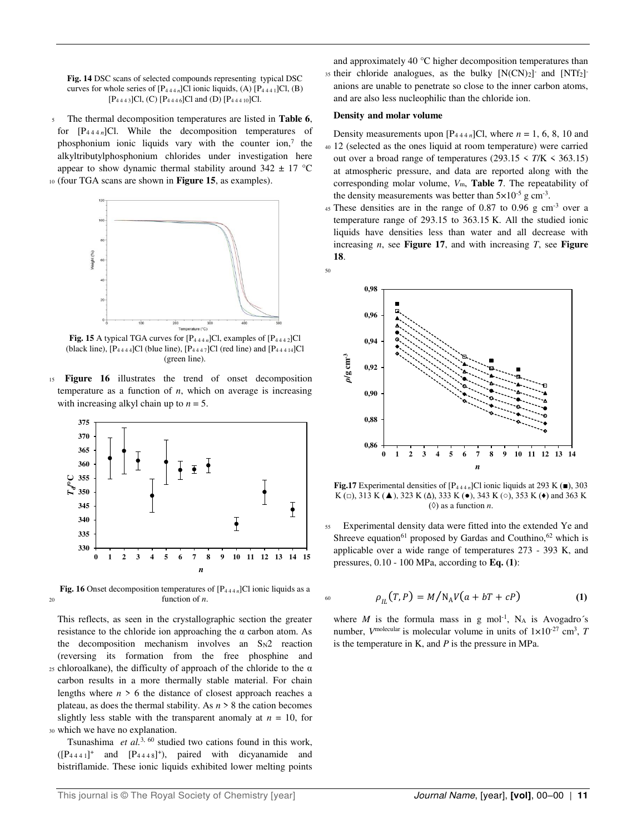**Fig. 14** DSC scans of selected compounds representing typical DSC curves for whole series of  $[P_{444 n}]$ Cl ionic liquids, (A)  $[P_{444 1}]$ Cl, (B)  $[P_{4443}]Cl$ , (C)  $[P_{4446}]Cl$  and (D)  $[P_{44410}]Cl$ .

<sup>5</sup>The thermal decomposition temperatures are listed in **Table 6**, for  $[P_{444 n}]$ Cl. While the decomposition temperatures of phosphonium ionic liquids vary with the counter ion, $<sup>7</sup>$  the</sup> alkyltributylphosphonium chlorides under investigation here appear to show dynamic thermal stability around  $342 \pm 17$  °C <sup>10</sup>(four TGA scans are shown in **Figure 15**, as examples).



**Fig. 15** A typical TGA curves for  $[P_{444 n}]$ Cl, examples of  $[P_{444 2}]$ Cl (black line),  $[P_{4444}]$ Cl (blue line),  $[P_{4447}]$ Cl (red line) and  $[P_{44414}]$ Cl (green line).

<sup>15</sup>**Figure 16** illustrates the trend of onset decomposition temperature as a function of *n*, which on average is increasing with increasing alkyl chain up to  $n = 5$ .



**Fig. 16** Onset decomposition temperatures of [P4 4 4 *n*]Cl ionic liquids as a  $20$  function of *n*.

This reflects, as seen in the crystallographic section the greater resistance to the chloride ion approaching the  $\alpha$  carbon atom. As the decomposition mechanism involves an  $S_N2$  reaction (reversing its formation from the free phosphine and  $25$  chloroalkane), the difficulty of approach of the chloride to the α carbon results in a more thermally stable material. For chain lengths where  $n > 6$  the distance of closest approach reaches a plateau, as does the thermal stability. As *n* > 8 the cation becomes slightly less stable with the transparent anomaly at  $n = 10$ , for <sup>30</sup>which we have no explanation.

 Tsunashima *et al.*3, 60 studied two cations found in this work,  $([P_{4441}]^+$  and  $[P_{4448}]^+$ ), paired with dicyanamide and bistriflamide. These ionic liquids exhibited lower melting points

and approximately 40 °C higher decomposition temperatures than 35 their chloride analogues, as the bulky [N(CN)<sub>2</sub>] and [NTf<sub>2</sub>] anions are unable to penetrate so close to the inner carbon atoms, and are also less nucleophilic than the chloride ion.

#### **Density and molar volume**

Density measurements upon  $[P_{444 n}]$ Cl, where  $n = 1, 6, 8, 10$  and <sup>40</sup>12 (selected as the ones liquid at room temperature) were carried out over a broad range of temperatures  $(293.15 \le T/K \le 363.15)$ at atmospheric pressure, and data are reported along with the corresponding molar volume, *V*m, **Table 7**. The repeatability of the density measurements was better than  $5 \times 10^{-5}$  g cm<sup>-3</sup>.

 $45$  These densities are in the range of 0.87 to 0.96 g cm<sup>-3</sup> over a temperature range of 293.15 to 363.15 K. All the studied ionic liquids have densities less than water and all decrease with increasing *n*, see **Figure 17**, and with increasing *T*, see **Figure 18**.



**Fig.17** Experimental densities of  $[P_{444n}]$ Cl ionic liquids at 293 K ( $\blacksquare$ ), 303 K (□), 313 K (▲), 323 K (Δ), 333 K (●), 343 K (○), 353 K (◆) and 363 K  $(③)$  as a function *n*.

Experimental density data were fitted into the extended Ye and Shreeve equation<sup>61</sup> proposed by Gardas and Couthino,<sup>62</sup> which is applicable over a wide range of temperatures 273 - 393 K, and pressures, 0.10 - 100 MPa, according to **Eq. (1)**:

$$
\rho_{IL}(T, P) = M/N_A V(a + bT + cP)
$$
 (1)

where  $M$  is the formula mass in g mol<sup>-1</sup>, N<sub>A</sub> is Avogadro's number,  $V^{\text{molecular}}$  is molecular volume in units of  $1 \times 10^{-27}$  cm<sup>3</sup>, *T* is the temperature in K, and *P* is the pressure in MPa.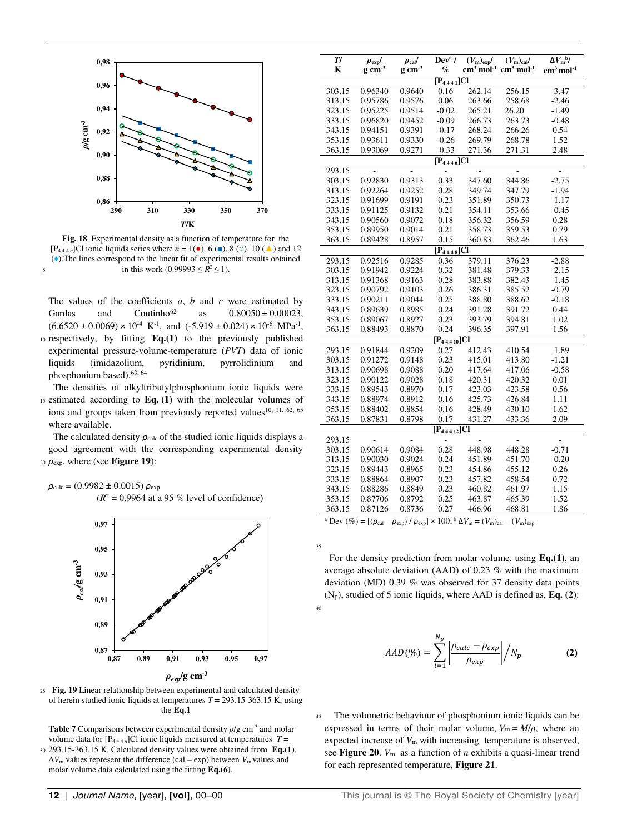

**Fig. 18** Experimental density as a function of temperature for the [P<sub>444n</sub>]Cl ionic liquids series where  $n = 1($ **.**), 6 (**■**), 8 (○), 10 (**△**) and 12 (♦).The lines correspond to the linear fit of experimental results obtained 5 in this work  $(0.99993 \le R^2 \le 1)$ .

The values of the coefficients *a*, *b* and *c* were estimated by Gardas and Coutinho<sup>62</sup> as  $0.80050 \pm 0.00023$ ,  $(6.6520 \pm 0.0069) \times 10^{-4} \text{ K}^{-1}$ , and  $(-5.919 \pm 0.024) \times 10^{-6} \text{ MPa}^{-1}$ , 10 respectively, by fitting **Eq.(1)** to the previously published experimental pressure-volume-temperature (*PVT*) data of ionic liquids (imidazolium, pyridinium, pyrrolidinium and phosphonium based).<sup>63, 64</sup>

 The densities of alkyltributylphosphonium ionic liquids were <sup>15</sup>estimated according to **Eq. (1)** with the molecular volumes of ions and groups taken from previously reported values<sup>10, 11, 62, 65</sup> where available.

The calculated density *ρ*<sub>calc</sub> of the studied ionic liquids displays a good agreement with the corresponding experimental density <sup>20</sup>*ρ*exp, where (see **Figure 19**):

 $ρ_{\text{calc}} = (0.9982 \pm 0.0015) ρ_{\text{exp}}$  $(R^2 = 0.9964$  at a 95 % level of confidence)



<sup>25</sup>**Fig. 19** Linear relationship between experimental and calculated density of herein studied ionic liquids at temperatures *T* = 293.15-363.15 K, using the **Eq.1** 

**Table 7** Comparisons between experimental density *ρ*/g cm-3 and molar volume data for  $[P_{444 n}]$ Cl ionic liquids measured at temperatures  $T =$ <sup>30</sup>293.15-363.15 K. Calculated density values were obtained from **Eq.(1)**.  $\Delta V_m$  values represent the difference (cal – exp) between  $V_m$  values and molar volume data calculated using the fitting **Eq.(6)**.

| T/     | $\rho_{\rm exp}/$   | $\rho_{\rm cal}$ / | $Deva$ /        | $\overline{(V_{\rm m})_{\rm exp}}$ | $\overline{(V_{\rm m})_{\rm cal}}/$ | $\Delta V_{\rm m}^{\rm b}$ / |
|--------|---------------------|--------------------|-----------------|------------------------------------|-------------------------------------|------------------------------|
| K      | $g \text{ cm}^{-3}$ | $g \text{ cm}^3$   | $\%$            | $\text{cm}^3 \text{ mol}^{-1}$     | $\rm cm^3\, mol^{-1}$               | $cm3$ mol <sup>-1</sup>      |
|        |                     |                    | $[P_{4441}]Cl$  |                                    |                                     |                              |
| 303.15 | 0.96340             | 0.9640             | 0.16            | 262.14                             | 256.15                              | $-3.47$                      |
| 313.15 | 0.95786             | 0.9576             | 0.06            | 263.66                             | 258.68                              | $-2.46$                      |
| 323.15 | 0.95225             | 0.9514             | $-0.02$         | 265.21                             | 26.20                               | $-1.49$                      |
| 333.15 | 0.96820             | 0.9452             | $-0.09$         | 266.73                             | 263.73                              | $-0.48$                      |
| 343.15 | 0.94151             | 0.9391             | $-0.17$         | 268.24                             | 266.26                              | 0.54                         |
| 353.15 | 0.93611             | 0.9330             | $-0.26$         | 269.79                             | 268.78                              | 1.52                         |
| 363.15 | 0.93069             | 0.9271             | $-0.33$         | 271.36                             | 271.31                              | 2.48                         |
|        |                     |                    |                 |                                    |                                     |                              |
|        |                     |                    | $[P_{4446}]$ Cl |                                    |                                     |                              |
| 293.15 |                     |                    | 0.33            |                                    |                                     |                              |
| 303.15 | 0.92830             | 0.9313             |                 | 347.60                             | 344.86                              | $-2.75$                      |
| 313.15 | 0.92264             | 0.9252             | 0.28            | 349.74                             | 347.79                              | $-1.94$                      |
| 323.15 | 0.91699             | 0.9191             | 0.23            | 351.89                             | 350.73                              | $-1.17$                      |
| 333.15 | 0.91125             | 0.9132             | 0.21            | 354.11                             | 353.66                              | $-0.45$                      |
| 343.15 | 0.90560             | 0.9072             | 0.18            | 356.32                             | 356.59                              | 0.28                         |
| 353.15 | 0.89950             | 0.9014             | 0.21            | 358.73                             | 359.53                              | 0.79                         |
| 363.15 | 0.89428             | 0.8957             | 0.15            | 360.83                             | 362.46                              | 1.63                         |
|        |                     |                    | $[P_{4448}]$ Cl |                                    |                                     |                              |
| 293.15 | 0.92516             | 0.9285             | 0.36            | 379.11                             | 376.23                              | $-2.88$                      |
| 303.15 | 0.91942             | 0.9224             | 0.32            | 381.48                             | 379.33                              | $-2.15$                      |
| 313.15 | 0.91368             | 0.9163             | 0.28            | 383.88                             | 382.43                              | $-1.45$                      |
| 323.15 | 0.90792             | 0.9103             | 0.26            | 386.31                             | 385.52                              | $-0.79$                      |
| 333.15 | 0.90211             | 0.9044             | 0.25            | 388.80                             | 388.62                              | $-0.18$                      |
| 343.15 | 0.89639             | 0.8985             | 0.24            | 391.28                             | 391.72                              | 0.44                         |
| 353.15 | 0.89067             | 0.8927             | 0.23            | 393.79                             | 394.81                              | 1.02                         |
| 363.15 | 0.88493             | 0.8870             | 0.24            | 396.35                             | 397.91                              | 1.56                         |
|        |                     |                    | $[P_{44410}]Cl$ |                                    |                                     |                              |
| 293.15 | 0.91844             | 0.9209             | 0.27            | 412.43                             | 410.54                              | $-1.89$                      |
| 303.15 | 0.91272             | 0.9148             | 0.23            | 415.01                             | 413.80                              | $-1.21$                      |
| 313.15 | 0.90698             | 0.9088             | 0.20            | 417.64                             | 417.06                              | $-0.58$                      |
| 323.15 | 0.90122             | 0.9028             | 0.18            | 420.31                             | 420.32                              | 0.01                         |
| 333.15 | 0.89543             | 0.8970             | 0.17            | 423.03                             | 423.58                              | 0.56                         |
| 343.15 | 0.88974             | 0.8912             | 0.16            | 425.73                             | 426.84                              | 1.11                         |
| 353.15 | 0.88402             | 0.8854             | 0.16            | 428.49                             | 430.10                              | 1.62                         |
| 363.15 | 0.87831             | 0.8798             | 0.17            | 431.27                             | 433.36                              | 2.09                         |
|        |                     |                    | $[P_{44412}]Cl$ |                                    |                                     |                              |
| 293.15 | $\overline{a}$      | $\overline{a}$     | $\overline{a}$  | $\overline{a}$                     | $\overline{a}$                      | $\overline{a}$               |
| 303.15 | 0.90614             | 0.9084             | 0.28            | 448.98                             | 448.28                              | $-0.71$                      |
| 313.15 | 0.90030             | 0.9024             | 0.24            | 451.89                             | 451.70                              | $-0.20$                      |
| 323.15 | 0.89443             | 0.8965             | 0.23            | 454.86                             | 455.12                              | 0.26                         |
| 333.15 | 0.88864             | 0.8907             | 0.23            | 457.82                             | 458.54                              | 0.72                         |
|        |                     |                    |                 |                                    |                                     |                              |
| 343.15 | 0.88286             | 0.8849             | 0.23            | 460.82                             | 461.97                              | 1.15                         |
| 353.15 | 0.87706             | 0.8792             | 0.25            | 463.87                             | 465.39                              | 1.52                         |
| 363.15 | 0.87126             | 0.8736             | 0.27            | 466.96                             | 468.81                              | 1.86                         |

<sup>a</sup> Dev (%) = [( $\rho_{\text{cal}} - \rho_{\text{exp}}$ ) /  $\rho_{\text{exp}}$ ] × 100;<sup>b</sup> ΔV<sub>m</sub> = (V<sub>m</sub>)<sub>cal</sub> – (V<sub>m</sub>)<sub>exp</sub>

35

40

 For the density prediction from molar volume, using **Eq.(1)**, an average absolute deviation (AAD) of 0.23 % with the maximum deviation (MD) 0.39 % was observed for 37 density data points (Np), studied of 5 ionic liquids, where AAD is defined as, **Eq. (2)**:

$$
AAD(\%) = \sum_{i=1}^{N_p} \left| \frac{\rho_{calc} - \rho_{exp}}{\rho_{exp}} \right| / N_p \tag{2}
$$

<sup>45</sup>The volumetric behaviour of phosphonium ionic liquids can be expressed in terms of their molar volume,  $V_m = M/\rho$ , where an expected increase of  $V_m$  with increasing temperature is observed, see **Figure 20**. *V*m as a function of *n* exhibits a quasi-linear trend for each represented temperature, **Figure 21**.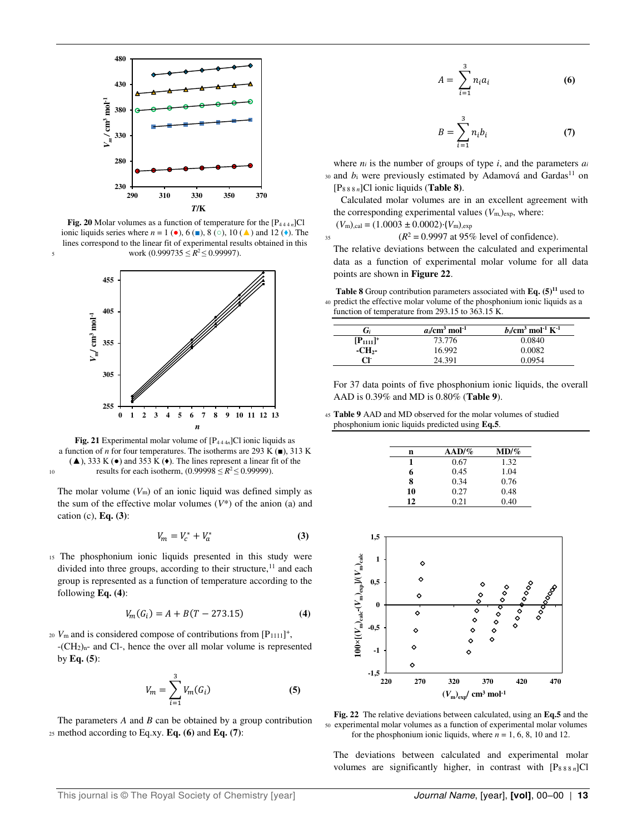

**Fig. 20** Molar volumes as a function of temperature for the  $[P_{444 n}]Cl$ ionic liquids series where  $n = 1$  ( $\bullet$ ), 6 ( $\bullet$ ), 8 ( $\circ$ ), 10 ( $\blacktriangle$ ) and 12 ( $\bullet$ ). The lines correspond to the linear fit of experimental results obtained in this s work  $(0.999735 \le R^2 \le 0.99997)$ .



**Fig. 21** Experimental molar volume of  $[P_{444n}]$ Cl ionic liquids as a function of *n* for four temperatures. The isotherms are 293 K  $(\blacksquare)$ , 313 K  $(\triangle)$ , 333 K ( $\bullet$ ) and 353 K ( $\bullet$ ). The lines represent a linear fit of the results for each isotherm,  $(0.99998 \le R^2 \le 0.99999)$ .

The molar volume  $(V<sub>m</sub>)$  of an ionic liquid was defined simply as the sum of the effective molar volumes  $(V^*)$  of the anion (a) and cation (c), **Eq. (3)**:

$$
V_m = V_c^* + V_a^* \tag{3}
$$

<sup>15</sup>The phosphonium ionic liquids presented in this study were divided into three groups, according to their structure,<sup>11</sup> and each group is represented as a function of temperature according to the following **Eq. (4)**:

$$
V_m(G_i) = A + B(T - 273.15)
$$
 (4)

 $v_{\rm m}$  and is considered compose of contributions from  $[P_{1111}]^+$ , -(CH2)n- and Cl-, hence the over all molar volume is represented by **Eq. (5)**:

$$
V_m = \sum_{i=1}^{3} V_m(G_i)
$$
 (5)

The parameters *A* and *B* can be obtained by a group contribution <sup>25</sup>method according to Eq.xy. **Eq. (6)** and **Eq. (7)**:

$$
A = \sum_{i=1}^{3} n_i a_i \tag{6}
$$

$$
B = \sum_{i=1}^{3} n_i b_i \tag{7}
$$

where  $n_i$  is the number of groups of type  $i$ , and the parameters  $a_i$  $30$  and  $b_i$  were previously estimated by Adamová and Gardas<sup>11</sup> on [P8 8 8 *n*]Cl ionic liquids (**Table 8)**.

 Calculated molar volumes are in an excellent agreement with the corresponding experimental values  $(V_{\text{m,}})_{\text{exp,}}}$  where:

$$
(V_{\text{m}})_{\text{,cal}} = (1.0003 \pm 0.0002) \cdot (V_{\text{m}})_{\text{,exp}}
$$

 $(R^2 = 0.9997 \text{ at } 95\% \text{ level of confidence}).$ 

The relative deviations between the calculated and experimental data as a function of experimental molar volume for all data points are shown in **Figure 22**.

**Table 8** Group contribution parameters associated with **Eq. (5)<sup>11</sup>** used to predict the effective molar volume of the phosphonium ionic liquids as a function of temperature from 293.15 to 363.15 K.

| G;                                     | $a/\text{cm}^3 \text{ mol}^{-1}$ | $b_i$ /cm <sup>3</sup> mol <sup>-1</sup> K <sup>-1</sup> |
|----------------------------------------|----------------------------------|----------------------------------------------------------|
| $[$ P <sub>1111</sub> $]$ <sup>+</sup> | 73.776                           | 0.0840                                                   |
| -CH <sub>2</sub> -                     | 16.992                           | 0.0082                                                   |
| CF.                                    | 24.391                           | 0.0954                                                   |

For 37 data points of five phosphonium ionic liquids, the overall AAD is 0.39% and MD is 0.80% (**Table 9**).

<sup>45</sup>**Table 9** AAD and MD observed for the molar volumes of studied phosphonium ionic liquids predicted using **Eq.5**.

| n  | $AAD/\%$ | $MD/ \%$ |
|----|----------|----------|
| 1  | 0.67     | 1.32     |
| 6  | 0.45     | 1.04     |
| 8  | 0.34     | 0.76     |
| 10 | 0.27     | 0.48     |
| 12 | 0.21     | 0.40     |



**Fig. 22** The relative deviations between calculated, using an **Eq.5** and the <sup>50</sup>experimental molar volumes as a function of experimental molar volumes for the phosphonium ionic liquids, where  $n = 1, 6, 8, 10$  and 12.

The deviations between calculated and experimental molar volumes are significantly higher, in contrast with [P8 8 8 *n*]Cl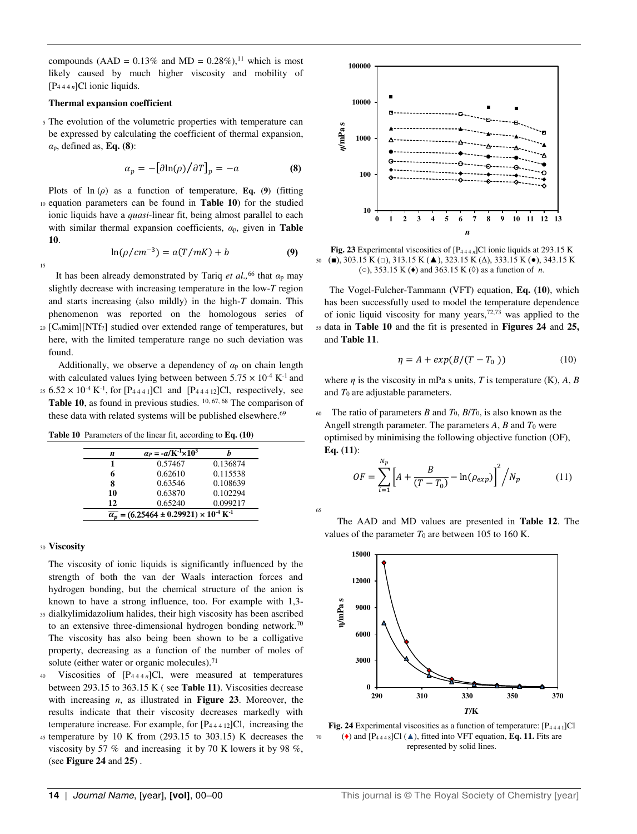compounds (AAD =  $0.13\%$  and MD =  $0.28\%$ ),<sup>11</sup> which is most likely caused by much higher viscosity and mobility of [P4 4 4 *n*]Cl ionic liquids.

#### **Thermal expansion coefficient**

<sup>5</sup>The evolution of the volumetric properties with temperature can be expressed by calculating the coefficient of thermal expansion, *α*p, defined as, **Eq. (8)**:

$$
\alpha_p = -\left[\frac{\partial \ln(\rho)}{\partial T}\right]_p = -a \tag{8}
$$

Plots of  $\ln(\rho)$  as a function of temperature, **Eq.** (9) (fitting <sup>10</sup>equation parameters can be found in **Table 10**) for the studied ionic liquids have a *quasi*-linear fit, being almost parallel to each with similar thermal expansion coefficients, *α*p, given in **Table 10**.  $\ln(\rho / cm^{-3}) = a(T/mK) + b$  (9)

$$
_{15}
$$

 It has been already demonstrated by Tariq *et al.,*<sup>66</sup> that *α*p may slightly decrease with increasing temperature in the low-*T* region

and starts increasing (also mildly) in the high-*T* domain. This phenomenon was reported on the homologous series of <sup>20</sup>[C*n*mim][NTf2] studied over extended range of temperatures, but here, with the limited temperature range no such deviation was found.

Additionally, we observe a dependency of  $\alpha_p$  on chain length with calculated values lying between between  $5.75 \times 10^{-4}$  K<sup>-1</sup> and 25  $6.52 \times 10^{-4}$  K<sup>-1</sup>, for [P<sub>4441</sub>]Cl and [P<sub>44412</sub>]Cl, respectively, see

**Table 10**, as found in previous studies. <sup>10, 67, 68</sup> The comparison of these data with related systems will be published elsewhere.<sup>69</sup>

**Table 10** Parameters of the linear fit, according to **Eq. (10)**

| n                                                                              | $\alpha_P = -a/K^{-1} \times 10^3$ |          |  |  |  |  |
|--------------------------------------------------------------------------------|------------------------------------|----------|--|--|--|--|
|                                                                                | 0.57467                            | 0.136874 |  |  |  |  |
| 6                                                                              | 0.62610                            | 0.115538 |  |  |  |  |
| 8                                                                              | 0.63546                            | 0.108639 |  |  |  |  |
| 10                                                                             | 0.63870                            | 0.102294 |  |  |  |  |
| 12                                                                             | 0.65240                            | 0.099217 |  |  |  |  |
| $\overline{\alpha_n}$ = (6.25464 ± 0.29921) × 10 <sup>-4</sup> K <sup>-1</sup> |                                    |          |  |  |  |  |

#### <sup>30</sup>**Viscosity**

The viscosity of ionic liquids is significantly influenced by the strength of both the van der Waals interaction forces and hydrogen bonding, but the chemical structure of the anion is known to have a strong influence, too. For example with 1,3-

- 35 dialkylimidazolium halides, their high viscosity has been ascribed to an extensive three-dimensional hydrogen bonding network.<sup>70</sup> The viscosity has also being been shown to be a colligative property, decreasing as a function of the number of moles of solute (either water or organic molecules).<sup>71</sup>
- <sup>40</sup>Viscosities of [P4 4 4 *n*]Cl, were measured at temperatures between 293.15 to 363.15 K ( see **Table 11)**. Viscosities decrease with increasing *n*, as illustrated in **Figure 23**. Moreover, the results indicate that their viscosity decreases markedly with temperature increase. For example, for [P4 4 4 12]Cl, increasing the
- $45$  temperature by 10 K from (293.15 to 303.15) K decreases the viscosity by 57 % and increasing it by 70 K lowers it by 98 %, (see **Figure 24** and **25**) .



**Fig. 23** Experimental viscosities of [P4 4 4 *n*]Cl ionic liquids at 293.15 K <sup>50</sup>(■), 303.15 K (□), 313.15 K (▲), 323.15 K (Δ), 333.15 K (●), 343.15 K (○), 353.15 K (♦) and 363.15 K (◊) as a function of *n*.

 The Vogel-Fulcher-Tammann (VFT) equation, **Eq. (10)**, which has been successfully used to model the temperature dependence of ionic liquid viscosity for many years,  $72,73$  was applied to the <sup>55</sup>data in **Table 10** and the fit is presented in **Figures 24** and **25,**  and **Table 11**.

$$
\eta = A + \exp(B/(T - T_0))\tag{10}
$$

where  $\eta$  is the viscosity in mPa s units, *T* is temperature (K), *A*, *B* and *T*0 are adjustable parameters.

The ratio of parameters *B* and  $T_0$ ,  $B/T_0$ , is also known as the Angell strength parameter. The parameters *A*, *B* and *T*0 were optimised by minimising the following objective function (OF), **Eq. (11)**:

$$
OF = \sum_{i=1}^{N_p} \left[ A + \frac{B}{(T - T_0)} - \ln(\rho_{exp}) \right]^2 / N_p \tag{11}
$$

 The AAD and MD values are presented in **Table 12**. The values of the parameter  $T_0$  are between 105 to 160 K.

65



**Fig. 24** Experimental viscosities as a function of temperature:  $[P_{4441}]Cl$  $70$  ( $\bullet$ ) and  $[P_{4448}]Cl(\triangle)$ , fitted into VFT equation, **Eq. 11.** Fits are represented by solid lines.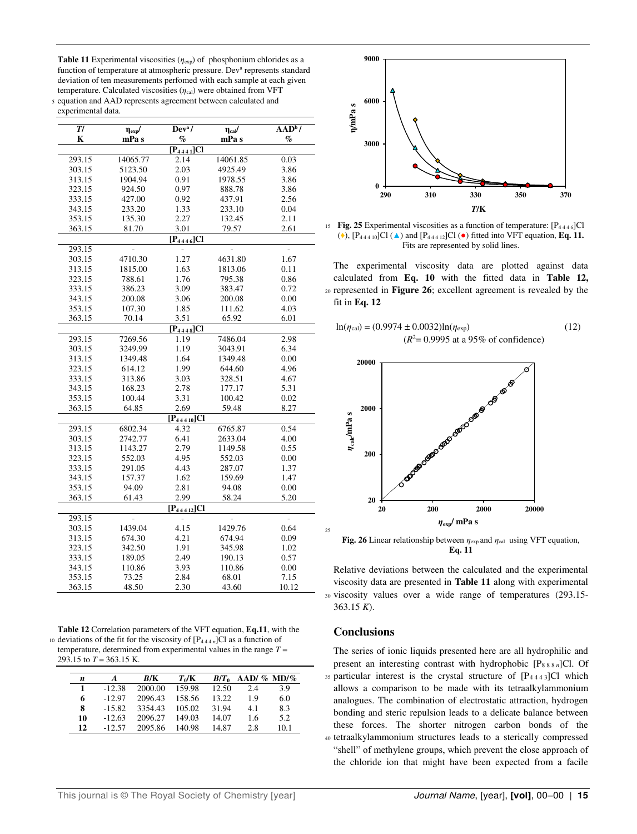**Table 11** Experimental viscosities (*η*exp) of phosphonium chlorides as a function of temperature at atmospheric pressure. Dev<sup>a</sup> represents standard deviation of ten measurements perfomed with each sample at each given temperature. Calculated viscosities ( $η<sub>cal</sub>$ ) were obtained from VFT

<sup>5</sup>equation and AAD represents agreement between calculated and experimental data.

| T/     | $\eta_{exp}$ / | Dev <sup>a</sup> /          | $\eta_{\text{cal}}/$ | $AA\overline{D^{b}}$ / |
|--------|----------------|-----------------------------|----------------------|------------------------|
| K      | mPa s          | $\%$                        | mPa s                | $\%$                   |
|        |                | $\overline{[P_{4441}]}$ Cl  |                      |                        |
| 293.15 | 14065.77       | 2.14                        | 14061.85             | 0.03                   |
| 303.15 | 5123.50        | 2.03                        | 4925.49              | 3.86                   |
| 313.15 | 1904.94        | 0.91                        | 1978.55              | 3.86                   |
| 323.15 | 924.50         | 0.97                        | 888.78               | 3.86                   |
| 333.15 | 427.00         | 0.92                        | 437.91               | 2.56                   |
| 343.15 | 233.20         | 1.33                        | 233.10               | 0.04                   |
| 353.15 | 135.30         | 2.27                        | 132.45               | 2.11                   |
| 363.15 | 81.70          | 3.01                        | 79.57                | 2.61                   |
|        |                | $[P_{4446}]Cl$              |                      |                        |
| 293.15 |                | $\overline{a}$              |                      |                        |
| 303.15 | 4710.30        | 1.27                        | 4631.80              | 1.67                   |
| 313.15 | 1815.00        | 1.63                        | 1813.06              | 0.11                   |
| 323.15 | 788.61         | 1.76                        | 795.38               | 0.86                   |
| 333.15 | 386.23         | 3.09                        | 383.47               | 0.72                   |
| 343.15 | 200.08         | 3.06                        | 200.08               | 0.00                   |
| 353.15 | 107.30         | 1.85                        | 111.62               | 4.03                   |
| 363.15 | 70.14          | 3.51                        | 65.92                | 6.01                   |
|        |                | $[P_{4448}]Cl$              |                      |                        |
| 293.15 | 7269.56        | 1.19                        | 7486.04              | 2.98                   |
| 303.15 | 3249.99        | 1.19                        | 3043.91              | 6.34                   |
| 313.15 | 1349.48        | 1.64                        | 1349.48              | 0.00                   |
| 323.15 | 614.12         | 1.99                        | 644.60               | 4.96                   |
| 333.15 | 313.86         | 3.03                        | 328.51               | 4.67                   |
| 343.15 | 168.23         | 2.78                        | 177.17               | 5.31                   |
| 353.15 | 100.44         | 3.31                        | 100.42               | 0.02                   |
| 363.15 | 64.85          | 2.69                        | 59.48                | 8.27                   |
|        |                | $\overline{[P_{44410}]}$ Cl |                      |                        |
| 293.15 | 6802.34        | 4.32                        | 6765.87              | 0.54                   |
| 303.15 | 2742.77        | 6.41                        | 2633.04              | 4.00                   |
| 313.15 | 1143.27        | 2.79                        | 1149.58              | 0.55                   |
| 323.15 | 552.03         | 4.95                        | 552.03               | 0.00                   |
| 333.15 | 291.05         | 4.43                        | 287.07               | 1.37                   |
| 343.15 | 157.37         | 1.62                        | 159.69               | 1.47                   |
| 353.15 | 94.09          | 2.81                        | 94.08                | 0.00                   |
| 363.15 | 61.43          | 2.99                        | 58.24                | 5.20                   |
|        |                | $\overline{[P_{44412}]}$ Cl |                      |                        |
| 293.15 |                |                             |                      | $\overline{a}$         |
| 303.15 | 1439.04        | 4.15                        | 1429.76              | 0.64                   |
| 313.15 | 674.30         | 4.21                        | 674.94               | 0.09                   |
| 323.15 | 342.50         | 1.91                        | 345.98               | 1.02                   |
| 333.15 | 189.05         | 2.49                        | 190.13               | 0.57                   |
| 343.15 | 110.86         | 3.93                        | 110.86               | 0.00                   |
| 353.15 | 73.25          | 2.84                        | 68.01                | 7.15                   |
| 363.15 | 48.50          | 2.30                        | 43.60                | 10.12                  |

**Table 12** Correlation parameters of the VFT equation, **Eq.11**, with the <sup>10</sup>deviations of the fit for the viscosity of [P4 4 4 *n*]Cl as a function of temperature, determined from experimental values in the range *T* = 293.15 to  $T = 363.15$  K.

| n  | A        | B/K     | $T_0/K$ | $B/T_0$ | AAD/ $\%$ MD/ $\%$ |      |
|----|----------|---------|---------|---------|--------------------|------|
|    | $-12.38$ | 2000.00 | 159.98  | 12.50   | 2.4                | 3.9  |
| 6  | $-12.97$ | 2096.43 | 158.56  | 13.22   | 19                 | 6.0  |
| 8  | $-15.82$ | 3354.43 | 105.02  | 31.94   | 4.1                | 8.3  |
| 10 | $-12.63$ | 2096.27 | 149.03  | 14.07   | 1.6                | 5.2  |
| 12 | $-12.57$ | 2095.86 | 140.98  | 14.87   | 2.8                | 10.1 |



15 **Fig. 25** Experimental viscosities as a function of temperature:  $[P_{4446}]Cl$ ( $\bullet$ ),  $[P_{44410}]Cl(\triangle)$  and  $[P_{44412}]Cl(\bullet)$  fitted into VFT equation, **Eq. 11.** Fits are represented by solid lines.

The experimental viscosity data are plotted against data calculated from **Eq. 10** with the fitted data in **Table 12,**  <sup>20</sup>represented in **Figure 26**; excellent agreement is revealed by the fit in **Eq. 12** 

$$
\ln(\eta_{\text{cal}}) = (0.9974 \pm 0.0032) \ln(\eta_{\text{exp}})
$$
 (12)  

$$
(R^2 = 0.9995 \text{ at a } 95\% \text{ of confidence})
$$



**Fig. 26** Linear relationship between  $\eta_{exp}$  and  $\eta_{cal}$  using VFT equation, **Eq. 11** 

Relative deviations between the calculated and the experimental viscosity data are presented in **Table 11** along with experimental 30 viscosity values over a wide range of temperatures (293.15-363.15 *K*).

#### **Conclusions**

25

The series of ionic liquids presented here are all hydrophilic and present an interesting contrast with hydrophobic [P8 8 8 *n*]Cl. Of 35 particular interest is the crystal structure of [P4443]Cl which allows a comparison to be made with its tetraalkylammonium analogues. The combination of electrostatic attraction, hydrogen bonding and steric repulsion leads to a delicate balance between these forces. The shorter nitrogen carbon bonds of the <sup>40</sup>tetraalkylammonium structures leads to a sterically compressed "shell" of methylene groups, which prevent the close approach of the chloride ion that might have been expected from a facile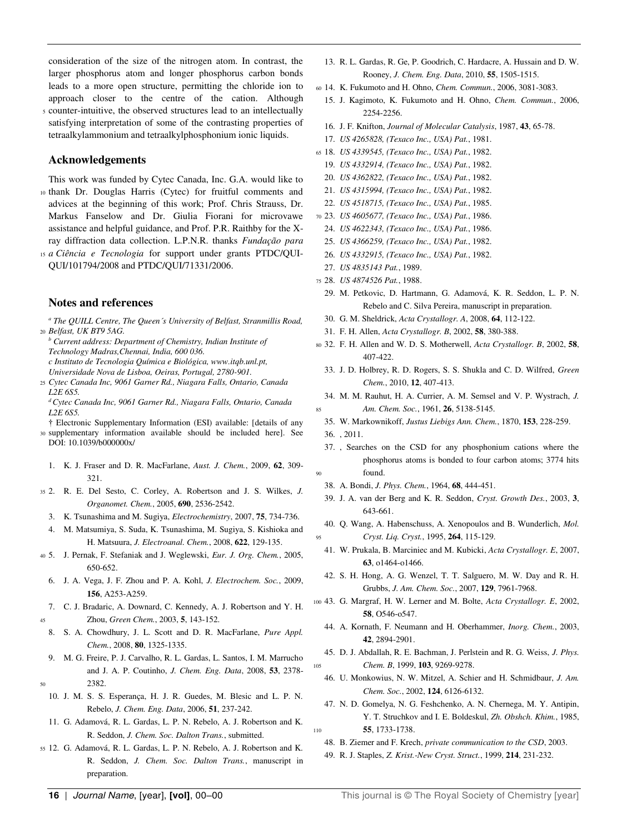consideration of the size of the nitrogen atom. In contrast, the larger phosphorus atom and longer phosphorus carbon bonds leads to a more open structure, permitting the chloride ion to approach closer to the centre of the cation. Although

<sup>5</sup>counter-intuitive, the observed structures lead to an intellectually satisfying interpretation of some of the contrasting properties of tetraalkylammonium and tetraalkylphosphonium ionic liquids.

#### **Acknowledgements**

This work was funded by Cytec Canada, Inc. G.A. would like to 10 thank Dr. Douglas Harris (Cytec) for fruitful comments and advices at the beginning of this work; Prof. Chris Strauss, Dr. Markus Fanselow and Dr. Giulia Fiorani for microvawe assistance and helpful guidance, and Prof. P.R. Raithby for the Xray diffraction data collection. L.P.N.R. thanks *Fundação para* 

15 *a Ciência e Tecnologia* for support under grants PTDC/QUI-QUI/101794/2008 and PTDC/QUI/71331/2006.

#### **Notes and references**

<sup>a</sup> The QUILL Centre, The Queen's University of Belfast, Stranmillis Road, <sup>20</sup>*Belfast, UK BT9 5AG.* 

- *b Current address: Department of Chemistry, Indian Institute of Technology Madras,Chennai, India, 600 036.*
- *c Instituto de Tecnologia Química e Biológica, www.itqb.unl.pt, Universidade Nova de Lisboa, Oeiras, Portugal, 2780-901.*
- <sup>25</sup>*Cytec Canada Inc, 9061 Garner Rd., Niagara Falls, Ontario, Canada L2E 6S5.*

*<sup>d</sup>Cytec Canada Inc, 9061 Garner Rd., Niagara Falls, Ontario, Canada L2E 6S5.* 

† Electronic Supplementary Information (ESI) available: [details of any <sup>30</sup>supplementary information available should be included here]. See

DOI: 10.1039/b0000000x/

- 1. K. J. Fraser and D. R. MacFarlane, *Aust. J. Chem.*, 2009, **62**, 309- 321.
- <sup>35</sup>2. R. E. Del Sesto, C. Corley, A. Robertson and J. S. Wilkes, *J. Organomet. Chem.*, 2005, **690**, 2536-2542.
- 3. K. Tsunashima and M. Sugiya, *Electrochemistry*, 2007, **75**, 734-736.
- 4. M. Matsumiya, S. Suda, K. Tsunashima, M. Sugiya, S. Kishioka and H. Matsuura, *J. Electroanal. Chem.*, 2008, **622**, 129-135.
- <sup>40</sup>5. J. Pernak, F. Stefaniak and J. Weglewski, *Eur. J. Org. Chem.*, 2005, 650-652.
	- 6. J. A. Vega, J. F. Zhou and P. A. Kohl, *J. Electrochem. Soc.*, 2009, **156**, A253-A259.
- 7. C. J. Bradaric, A. Downard, C. Kennedy, A. J. Robertson and Y. H. <sup>45</sup>Zhou, *Green Chem.*, 2003, **5**, 143-152.
	- 8. S. A. Chowdhury, J. L. Scott and D. R. MacFarlane, *Pure Appl. Chem.*, 2008, **80**, 1325-1335.
- 9. M. G. Freire, P. J. Carvalho, R. L. Gardas, L. Santos, I. M. Marrucho and J. A. P. Coutinho, *J. Chem. Eng. Data*, 2008, **53**, 2378- <sup>50</sup>2382.
	- 10. J. M. S. S. Esperança, H. J. R. Guedes, M. Blesic and L. P. N. Rebelo, *J. Chem. Eng. Data*, 2006, **51**, 237-242.
	- 11. G. Adamová, R. L. Gardas, L. P. N. Rebelo, A. J. Robertson and K. R. Seddon, *J. Chem. Soc. Dalton Trans.*, submitted.
- <sup>55</sup>12. G. Adamová, R. L. Gardas, L. P. N. Rebelo, A. J. Robertson and K. R. Seddon, *J. Chem. Soc. Dalton Trans.*, manuscript in preparation.
- 13. R. L. Gardas, R. Ge, P. Goodrich, C. Hardacre, A. Hussain and D. W. Rooney, *J. Chem. Eng. Data*, 2010, **55**, 1505-1515.
- <sup>60</sup>14. K. Fukumoto and H. Ohno, *Chem. Commun.*, 2006, 3081-3083.
- 15. J. Kagimoto, K. Fukumoto and H. Ohno, *Chem. Commun.*, 2006, 2254-2256.
- 16. J. F. Knifton, *Journal of Molecular Catalysis*, 1987, **43**, 65-78.
- 17. *US 4265828, (Texaco Inc., USA) Pat.*, 1981.
- <sup>65</sup>18. *US 4339545, (Texaco Inc., USA) Pat.*, 1982.
	- 19. *US 4332914, (Texaco Inc., USA) Pat.*, 1982.
	- 20. *US 4362822, (Texaco Inc., USA) Pat.*, 1982.
- 21. *US 4315994, (Texaco Inc., USA) Pat.*, 1982.
- 22. *US 4518715, (Texaco Inc., USA) Pat.*, 1985.
- <sup>70</sup>23. *US 4605677, (Texaco Inc., USA) Pat.*, 1986.
- 24. *US 4622343, (Texaco Inc., USA) Pat.*, 1986.
- 25. *US 4366259, (Texaco Inc., USA) Pat.*, 1982.
- 26. *US 4332915, (Texaco Inc., USA) Pat.*, 1982. 27. *US 4835143 Pat.*, 1989.
- <sup>75</sup>28. *US 4874526 Pat.*, 1988.
- 29. M. Petkovic, D. Hartmann, G. Adamová, K. R. Seddon, L. P. N. Rebelo and C. Silva Pereira, manuscript in preparation.
- 30. G. M. Sheldrick, *Acta Crystallogr. A*, 2008, **64**, 112-122.
- 31. F. H. Allen, *Acta Crystallogr. B*, 2002, **58**, 380-388.
- <sup>80</sup>32. F. H. Allen and W. D. S. Motherwell, *Acta Crystallogr. B*, 2002, **58**, 407-422.
	- 33. J. D. Holbrey, R. D. Rogers, S. S. Shukla and C. D. Wilfred, *Green Chem.*, 2010, **12**, 407-413.
- 34. M. M. Rauhut, H. A. Currier, A. M. Semsel and V. P. Wystrach, *J.*  <sup>85</sup>*Am. Chem. Soc.*, 1961, **26**, 5138-5145.
	- 35. W. Markownikoff, *Justus Liebigs Ann. Chem.*, 1870, **153**, 228-259.
	- 36. , 2011.
- 37. , Searches on the CSD for any phosphonium cations where the phosphorus atoms is bonded to four carbon atoms; 3774 hits 90 found.
- 38. A. Bondi, *J. Phys. Chem.*, 1964, **68**, 444-451.
- 39. J. A. van der Berg and K. R. Seddon, *Cryst. Growth Des.*, 2003, **3**, 643-661.
- 40. Q. Wang, A. Habenschuss, A. Xenopoulos and B. Wunderlich, *Mol.*  <sup>95</sup>*Cryst. Liq. Cryst.*, 1995, **264**, 115-129.
	- 41. W. Prukala, B. Marciniec and M. Kubicki, *Acta Crystallogr. E*, 2007, **63**, o1464-o1466.
	- 42. S. H. Hong, A. G. Wenzel, T. T. Salguero, M. W. Day and R. H. Grubbs, *J. Am. Chem. Soc.*, 2007, **129**, 7961-7968.
- <sup>100</sup>43. G. Margraf, H. W. Lerner and M. Bolte, *Acta Crystallogr. E*, 2002, **58**, O546-o547.
	- 44. A. Kornath, F. Neumann and H. Oberhammer, *Inorg. Chem.*, 2003, **42**, 2894-2901.
- 45. D. J. Abdallah, R. E. Bachman, J. Perlstein and R. G. Weiss, *J. Phys.*  <sup>105</sup>*Chem. B*, 1999, **103**, 9269-9278.
	- 46. U. Monkowius, N. W. Mitzel, A. Schier and H. Schmidbaur, *J. Am. Chem. Soc.*, 2002, **124**, 6126-6132.
- 47. N. D. Gomelya, N. G. Feshchenko, A. N. Chernega, M. Y. Antipin, Y. T. Struchkov and I. E. Boldeskul, *Zh. Obshch. Khim.*, 1985, <sup>110</sup>**55**, 1733-1738.
	- 48. B. Ziemer and F. Krech, *private communication to the CSD*, 2003.
	- 49. R. J. Staples, *Z. Krist.-New Cryst. Struct.*, 1999, **214**, 231-232.